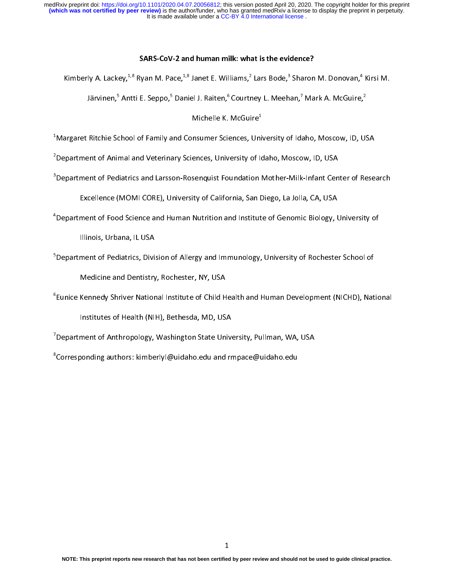## SARS-CoV-2 and human milk: what is the evidence?

 $\frac{1}{2}$ 

Kimberly A. Lackey,\*'° Ryan M. Pace,\*'° Janet E. Williams,\* Lars Bode,\* Sharon M. Donovan,\*<br>Järvinen,<sup>5</sup> Antti E. Seppo,<sup>5</sup> Daniel J. Raiten,<sup>6</sup> Courtney L. Meehan,<sup>7</sup> Mark A. McGuire, Järvinen, ̃ Antti E. Seppo, ̃ Daniel J. Raiten, ̃ Courtney L. Meehan, ´ Mark A. McGuire, ̂<br>Michelle K. McGuire<sup>1</sup>

Michelle K. McGuire<sup>+</sup><br>Margaret Ritchie School of Family and Consumer Sciences, Uni<sup>1</sup>  $\overline{a}$ 

 $\sim$ <br> $^2$ Department of Animal and Veterinary Sciences, University of Idaho, Moscow, ID, USA  $^2$ 

Department of Pediatrics and Larsson-Rosenquist Foundation Mother-Milk-Infant Cen<sup>3</sup>Department of Pediatrics and Larsson-Rosenquist Foundation Mother-Milk-Infant Cen

Excellence (MOMI CORE), University of California, San Diego, La Jolla, CA, USA

Excellence (MOMI CORE), UNIVERSITY of California, San Diego, La John, San, San,<br>4 Department of Food Science and Human Nutrition and Institute of Genomic Biology, U

Department of Food Science and Human Nutrition and Institute of Genomic Biology, University of

s<br><sup>5</sup>Department of Pediatrics, Divi:

Medicine and Dentistry, Rochester, NY, USA

Medicine and Dentistry, Newton, NY, USA 2008<br>Eunice Kennedy Shriver National Institute of Child H<sup>6</sup>

Institutes of Health (NIH), Bethesda, MD, USA

institute of Anthropology, Washington State Univer<br>Department of Anthropology, Washington State Unive

Expartment of Anthropology, Washington State University, Pullman, WA, USA<br>8<br>Corresponding authors: kimberlyl@uidaho.edu and rmpace@uidaho.edu Corresponding authors: kimberlyl@uidaho.edu and rmpace@uidaho.edu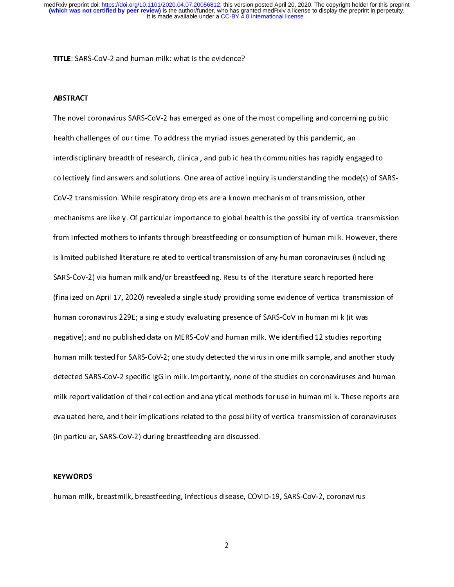TITLE: SARS-CoV-2 and human milk: what is the evidence?

## ABSTRACT

The novel coronavirus SARS-CoV-2 has emerged as one of the most compelling and concerning public<br>health challenges of our time. To address the myriad issues generated by this pandemic, an interdisciplinary breadth of research, clinical, and public health communities has rapidly engaged to collectively find answers and solutions. One area of active inquiry is understanding the mode(s) of SARS-CoV-2 transmission. While respiratory droplets are a known mechanism of transmission, other mechanisms are likely. Of particular importance to global health is the possibility of vertical transmission from infected mothers to infants through breastfeeding or consumption of human milk. However, there is limited published literature related to vertical transmission of any human coronaviruses (including SARS-CoV-2) via human milk and/or breastfeeding. Results of the literature search reported here (finalized on April 17, 2020) revealed a single study providing some evidence of vertical transmission of human coronavirus 229E; a single study evaluating presence of SARS-CoV in human milk (it was negative); and no published data on MERS-CoV and human milk. We identified 12 studies reporting human milk tested for SARS-CoV-2; one study detected the virus in one milk sample, and another study detected SARS-CoV-2 specific IgG in milk. Importantly, none of the studies on coronaviruses and human milk report validation of their collection and analytical methods for use in human milk. These reports are evaluated here, and their implications related to the possibility of vertical transmission of coronaviruses (in particular, SARS-CoV-2) during breastfeeding are discussed. (in particular, SARS-CoV-2) during breastfeeding are discussed.

# l KEYWORDS

human milk, breastmilk, breastfeeding, infectious disease, COVID-19, SARS-CoV-2, coronavirus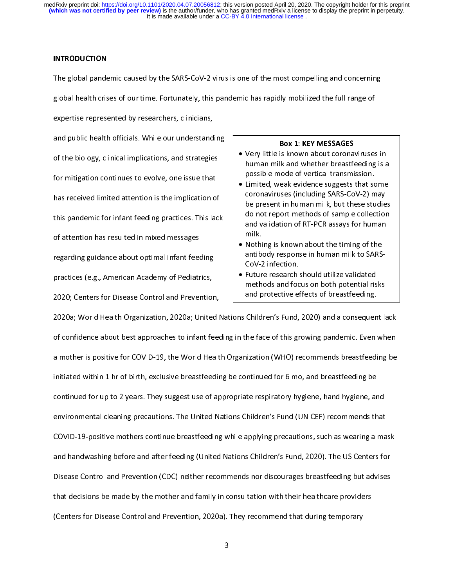## INTRODUCTION

The global pandemic caused by the SARS-CoV-2 virus is one of the most compelling and concerning<br>global health crises of our time. Fortunately, this pandemic has rapidly mobilized the full range of expertise represented by researchers, clinicians,

and public health officials. While our understanding of the biology, clinical implications, and strategies for mitigation continues to evolve, one issue that has received limited attention is the implication of this pandemic for infant feeding practices. This lack of attention has resulted in mixed messages. regarding guidance about optimal infant feeding practices (e.g., American Academy of Pediatrics, 2020; Centers for Disease Control and Prevention,

- BOX 1: KET MESSAGES<br>• Very little is known about corona human milk and whether breastfeeding is a possible mode of vertical transmission. possible mode of vertical transmission.<br>Limited, weak evidence suggests that some
- Limited, weak evidence suggests that so<br>coronaviruses (including SARS-CoV-2) m coronaviruses (including SARS-CoV-2) may<br>be present in human milk, but these studies coronavirus consuming Same Sever 2, 2021,<br>be present in human milk, but these studie<br>do not report methods of sample collection be present in human milk, but these studies<br>do not report methods of sample collection<br>and validation of RT-PCR assays for human do not represent the to complete contraction<br>and validation of RT-PCR assays for human<br>milk. and valuation of the Politicat<sub>i</sub> Procedulation<br>milk.<br>Nothing is known about the timing of the
- Nothi<br>antib antibody response in human milk to SARS-CoV-2 infection.
- Future research should utilize validated<br>methods and focus on both potential risks methods and focus on both potential risks and protective effects of breastfeeding.

zozo; centers for Disease Control and Prevention, and the controlled the control of the control of breasth or<br>2020a; World Health Organization, 2020a; United Nations Children's Fund, 2020) and a consequen of confidence about best approaches to infant feeding in the face of this growing pandemic. Even when a mother is positive for COVID-19, the World Health Organization (WHO) recommends breastfeeding be initiated within 1 hr of birth, exclusive breastfeeding be continued for 6 mo, and breastfeeding be continued for up to 2 years. They suggest use of appropriate respiratory hygiene, hand hygiene, and environmental cleaning precautions. The United Nations Children's Fund (UNICEF) recommends that COVID-19-positive mothers continue breastfeeding while applying precautions, such as wearing a mask and handwashing before and after feeding (United Nations Children's Fund, 2020). The US Centers for Disease Control and Prevention (CDC) neither recommends nor discourages breastfeeding but advises that decisions be made by the mother and family in consultation with their healthcare providers (Centers for Disease Control and Prevention, 2020a). They recommend that during temporary (Centers for Disease Control and Prevention, 2020a). They recommend that during temporary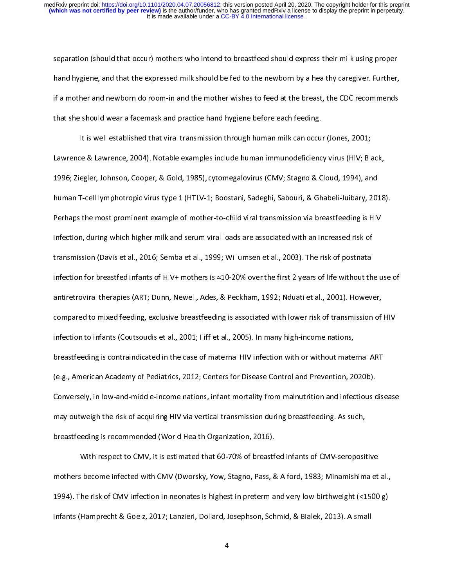separation (should that occur) mothers who intend to breastfeed should express their milk using proper<br>hand hygiene, and that the expressed milk should be fed to the newborn by a healthy caregiver. Further, if a mother and newborn do room-in and the mother wishes to feed at the breast, the CDC recommends that she should wear a facemask and practice hand hygiene before each feeding.

It is well established that viral transmission through human milk can occur (Jones, 2001; Lawrence & Lawrence, 2004). Notable examples include human immunodeficiency virus (HIV; Black, 1996; Ziegler, Johnson, Cooper, & Gold, 1985), cytomegalovirus (CMV; Stagno & Cloud, 1994), and 1996; Ziegler, Johnson, Cooper, & Gold, 1985), cytomegalovirus (CMV; Stagno & Cloud, 1994), and<br>human T-cell lymphotropic virus type 1 (HTLV-1; Boostani, Sadeghi, Sabouri, & Ghabeli-Juibary, 201 Perhaps the most prominent example of mother-to-child viral transmission via breastfeeding is HIV infection, during which higher milk and serum viral loads are associated with an increased risk of transmission (Davis et al., 2016; Semba et al., 1999; Willumsen et al., 2003). The risk of postnatal infection for breastfed infants of HIV+ mothers is  $\approx$  10-20% over the first 2 years of life without the use of antiretroviral therapies (ART; Dunn, Newell, Ades, & Peckham, 1992; Nduati et al., 2001). However, compared to mixed feeding, exclusive breastfeeding is associated with lower risk of transmission of HIV infection to infants (Coutsoudis et al., 2001; lliff et al., 2005). In many high-income nations, breastfeeding is contraindicated in the case of maternal HIV infection with or without maternal ART (e.g., American Academy of Pediatrics, 2012; Centers for Disease Control and Prevention, 2020b). Conversely, in low-and-middle-income nations, infant mortality from malnutrition and infectious disease may outweigh the risk of acquiring HIV via vertical transmission during breastfeeding. As such, breastfeeding is recommended (World Health Organization, 2016).

With respect to CMV, it is estimated that 60-70% of breastfed infants of CMV-seropositive mothers become infected with CMV (Dworsky, Yow, Stagno, Pass, & Alford, 1983; Minamishima et al., 1994). The risk of CMV infection in neonates is highest in preterm and very low birthweight (<1500 g) infants (Hamprecht & Goelz, 2017; Lanzieri, Dollard, Josephson, Schmid, & Bialek, 2013). A small infants (Hamprecht & Goelz, 2017; Lanzieri, Dollard, Josephson, Schmid, & Bialek, 2013). A small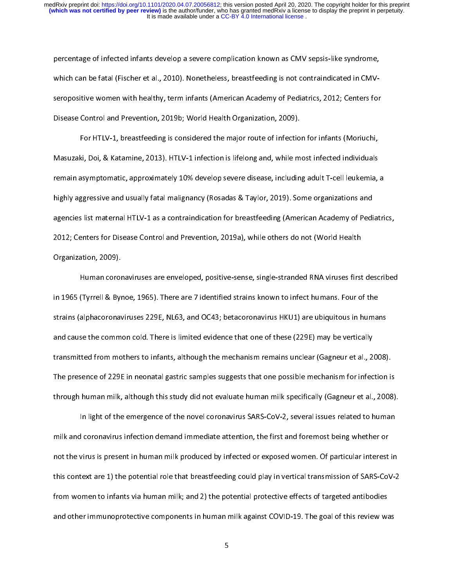percentage of infected infants develop a severe complication known as CMV sepsis-like syndrome,<br>which can be fatal (Fischer et al., 2010). Nonetheless, breastfeeding is not contraindicated in CMVseropositive women with healthy, term infants (American Academy of Pediatrics, 2012; Centers for Disease Control and Prevention, 2019b; World Health Organization, 2009).

For HTLV-1, breastfeeding is considered the major route of infection for infants (Moriuchi, Masuzaki, Doi, & Katamine, 2013). HTLV-1 infection is lifelong and, while most infected individuals remain asymptomatic, approximately 10% develop severe disease, including adult T-cell leukemia, a highly aggressive and usually fatal malignancy (Rosadas & Taylor, 2019). Some organizations and agencies list maternal HTLV-1 as a contraindication for breastfeeding (American Academy of Pediatrics, 2012; Centers for Disease Control and Prevention, 2019a), while others do not (World Health  $2012$ ; Centers for Disease Control and Prevention, 2009), while others do not (World Health Health Health Health Health Health Health Health Health Health Health Health Health Health Health Health Health Health Health He Organization, 2009).<br>Human coronaviruses are enveloped, positive-sense, single-stranded RNA viruses first described

in 1965 (Tyrrell & Bynoe, 1965). There are 7 identified strains known to infect humans. Four of the strains (alphacoronaviruses 229E, NL63, and OC43; betacoronavirus HKU1) are ubiquitous in humans and cause the common cold. There is limited evidence that one of these (229E) may be vertically transmitted from mothers to infants, although the mechanism remains unclear (Gagneur et al., 2008). The presence of 229E in neonatal gastric samples suggests that one possible mechanism for infection is through human milk, although this study did not evaluate human milk specifically (Gagneur et al., 2008).

In light of the emergence of the novel coronavirus SARS-CoV-2, several issues related to human milk and coronavirus infection demand immediate attention, the first and foremost being whether or not the virus is present in human milk produced by infected or exposed women. Of particular interest in this context are 1) the potential role that breastfeeding could play in vertical transmission of SARS-CoV-2 from women to infants via human milk; and 2) the potential protective effects of targeted antibodies and other immunoprotective components in human milk against COVID-19. The goal of this review was and other immunoprotective components in human milk against COVID-19. The goal of this review was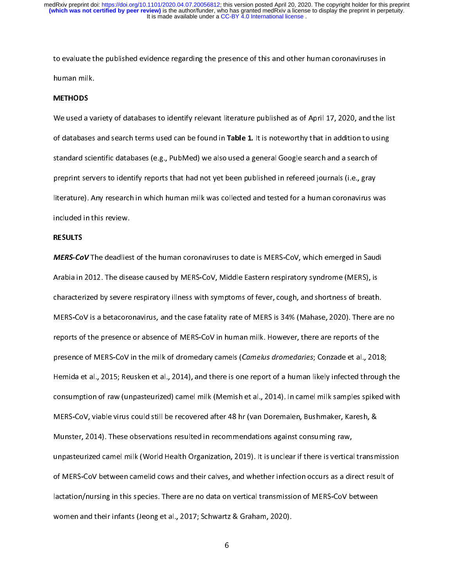to evaluate the published evidence regarding the presence of this and other human coronaviruses in

# METHODS

We used a variety of databases to identify relevant literature published as of April 17, 2020, and the list<br>of databases and search terms used can be found in **Table 1.** It is noteworthy that in addition to using standard scientific databases (e.g., PubMed) we also used a general Google search and a search of preprint servers to identify reports that had not yet been published in refereed journals (i.e., gray literature). Any research in which human milk was collected and tested for a human coronavirus was literature). Any research in which human milk was collected and tested for a human coronavirus was<br>included in this review.

# included in this review. RESULTS

MERS-CoV The deadliest of the human coronaviruses to date is MERS-CoV, which emerged in Saudi<br>Arabia in 2012. The disease caused by MERS-CoV, Middle Eastern respiratory syndrome (MERS), is characterized by severe respiratory illness with symptoms of fever, cough, and shortness of breath. MERS-CoV is a betacoronavirus, and the case fatality rate of MERS is 34% (Mahase, 2020). There are no reports of the presence or absence of MERS-CoV in human milk. However, there are reports of the presence of MERS-CoV in the milk of dromedary camels (Camelus dromedaries; Conzade et al., 2018; Hemida et al., 2015; Reusken et al., 2014), and there is one report of a human likely infected through the consumption of raw (unpasteurized) camel milk (Memish et al., 2014). In camel milk samples spiked with MERS-CoV, viable virus could still be recovered after 48 hr (van Doremalen, Bushmaker, Karesh, & Munster, 2014). These observations resulted in recommendations against consuming raw, unpasteurized camel milk (World Health Organization, 2019). It is unclear if there is vertical transmission of MERS-CoV between camelid cows and their calves, and whether infection occurs as a direct result of lactation/nursing in this species. There are no data on vertical transmission of MERS-CoV between women and their infants (Jeong et al., 2017; Schwartz & Graham, 2020).

women and their infants (Jeong et al., 2017; Schwartz & Graham, 2017; Schwartz & Graham, 2020).<br>Schwartz & Graham, 2020, Schwartz & Graham, 2020; Schwartz & Graham, 2020; Schwartz & Graham, 2020; Schwartz &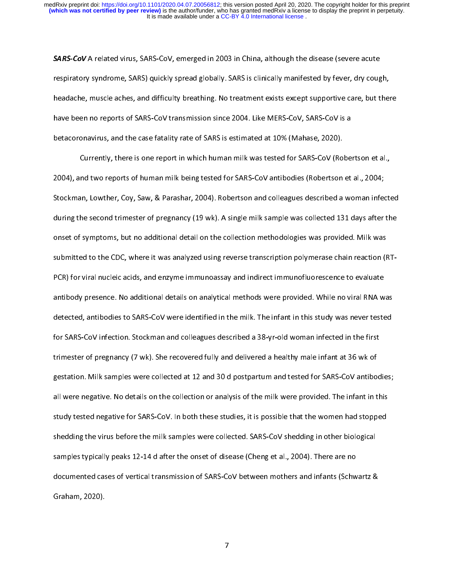**SARS-CoV** A related virus, SARS-CoV, emerged in 2003 in China, although the disease (severe acute<br>respiratory syndrome, SARS) quickly spread globally. SARS is clinically manifested by fever, dry cough, headache, muscle aches, and difficulty breathing. No treatment exists except supportive care, but there have been no reports of SARS-CoV transmission since 2004. Like MERS-CoV, SARS-CoV is a betacoronavirus, and the case fatality rate of SARS is estimated at 10% (Mahase, 2020).

Currently, there is one report in which human milk was tested for SARS-CoV (Robertson et al., 2004), and two reports of human milk being tested for SARS-CoV antibodies (Robertson et al., 2004; Stockman, Lowther, Coy, Saw, & Parashar, 2004). Robertson and colleagues described a woman infected during the second trimester of pregnancy (19 wk). A single milk sample was collected 131 days after the onset of symptoms, but no additional detail on the collection methodologies was provided. Milk was submitted to the CDC, where it was analyzed using reverse transcription polymerase chain reaction (RT-PCR) for viral nucleic acids, and enzyme immunoassay and indirect immunofluorescence to evaluate antibody presence. No additional details on analytical methods were provided. While no viral RNA was detected, antibodies to SARS-CoV were identified in the milk. The infant in this study was never tested for SARS-CoV infection. Stockman and colleagues described a 38-yr-old woman infected in the first trimester of pregnancy (7 wk). She recovered fully and delivered a healthy male infant at 36 wk of gestation. Milk samples were collected at 12 and 30 d postpartum and tested for SARS-CoV antibodies; all were negative. No details on the collection or analysis of the milk were provided. The infant in this study tested negative for SARS-CoV. In both these studies, it is possible that the women had stopped shedding the virus before the milk samples were collected. SARS-CoV shedding in other biological samples typically peaks 12-14 d after the onset of disease (Cheng et al., 2004). There are no documented cases of vertical transmission of SARS-CoV between mothers and infants (Schwartz & documented cases of vertical transmission of SARS-CoV between mothers and infants (Schwartz &<br>Graham, 2020). Graham, 2020).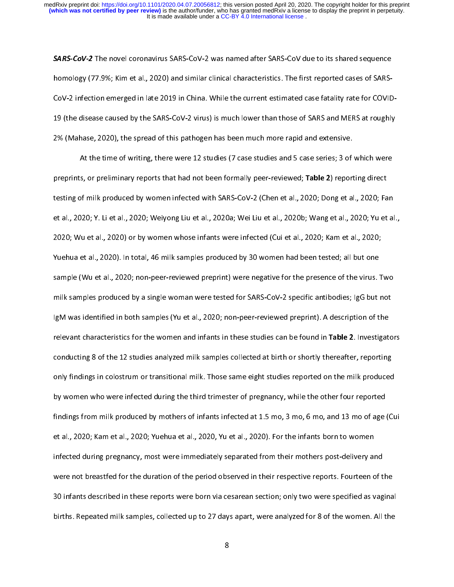**SARS-CoV-2** The novel coronavirus SARS-CoV-2 was named after SARS-CoV due to its shared sequence<br>homology (77.9%; Kim et al., 2020) and similar clinical characteristics. The first reported cases of SARS-CoV-2 infection emerged in late 2019 in China. While the current estimated case fatality rate for COVID-19 (the disease caused by the SARS-CoV-2 virus) is much lower than those of SARS and MERS at roughly 2% (Mahase, 2020), the spread of this pathogen has been much more rapid and extensive.

At the time of writing, there were 12 studies (7 case studies and 5 case series; 3 of which were preprints, or preliminary reports that had not been formally peer-reviewed; Table 2) reporting direct testing of milk produced by women infected with SARS-CoV-2 (Chen et al., 2020; Dong et al., 2020; Fan et al., 2020; Y. Li et al., 2020; Weiyong Liu et al., 2020a; Wei Liu et al., 2020b; Wang et al., 2020; Yu et al., 2020; Wu et al., 2020) or by women whose infants were infected (Cui et al., 2020; Kam et al., 2020; Yuehua et al., 2020). In total, 46 milk samples produced by 30 women had been tested; all but one sample (Wu et al., 2020; non-peer-reviewed preprint) were negative for the presence of the virus. Two milk samples produced by a single woman were tested for SARS-CoV-2 specific antibodies; IgG but not lgM was identified in both samples (Yu et al., 2020; non-peer-reviewed preprint). A description of the relevant characteristics for the women and infants in these studies can be found in Table 2. Investigators conducting 8 of the 12 studies analyzed milk samples collected at birth or shortly thereafter, reporting only findings in colostrum or transitional milk. Those same eight studies reported on the milk produced by women who were infected during the third trimester of pregnancy, while the other four reported findings from milk produced by mothers of infants infected at 1.5 mo, 3 mo, 6 mo, and 13 mo of age (Cui et al., 2020; Kam et al., 2020; Yuehua et al., 2020, Yu et al., 2020). For the infants born to women infected during pregnancy, most were immediately separated from their mothers post-delivery and were not breastfed for the duration of the period observed in their respective reports. Fourteen of the 30 infants described in these reports were born via cesarean section; only two were specified as vaginal births. Repeated milk samples, collected up to 27 days apart, were analyzed for 8 of the women. All the births. Repeated milk samples, collected up to 27 days apart, were analyzed for 8 of the women. All the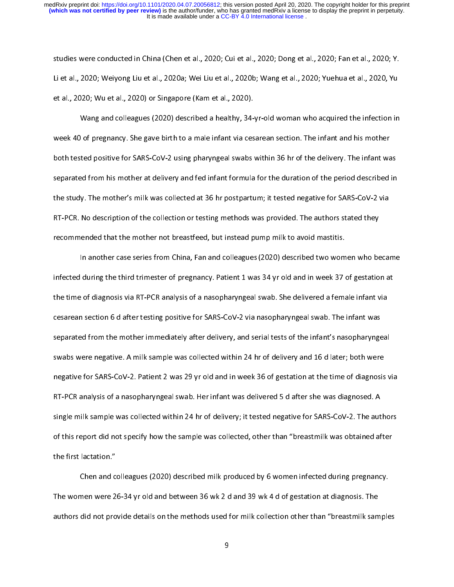studies were conducted in China (Chen et al., 2020; Cui et al., 2020; Dong et al., 2020; Fan et al., 2020; Y.<br>Li et al., 2020; Weiyong Liu et al., 2020a; Wei Liu et al., 2020b; Wang et al., 2020; Yuehua et al., 2020, Yu et al., 2020; Wu et al., 2020) or Singapore (Kam et al., 2020).

Wang and colleagues (2020) described a healthy, 34-yr-old woman who acquired the infection in week 40 of pregnancy. She gave birth to a male infant via cesarean section. The infant and his mother both tested positive for SARS-CoV-2 using pharyngeal swabs within 36 hr of the delivery. The infant was separated from his mother at delivery and fed infant formula for the duration of the period described in the study. The mother's milk was collected at 36 hr postpartum; it tested negative for SARS-CoV-2 via RT-PCR. No description of the collection or testing methods was provided. The authors stated they recommended that the mother not breastfeed, but instead pump milk to avoid mastitis.

In another case series from China, Fan and colleagues (2020) described two women who became In another case series from China, Fan and colleagues (2020) described two women who became the time of diagnosis via RT-PCR analysis of a nasopharyngeal swab. She delivered a female infant via cesarean section 6 d after testing positive for SARS-CoV-2 via nasopharyngeal swab. The infant was separated from the mother immediately after delivery, and serial tests of the infant's nasopharyngeal swabs were negative. A milk sample was collected within 24 hr of delivery and 16 d later; both were negative for SARS-CoV-2. Patient 2 was 29 yr old and in week 36 of gestation at the time of diagnosis via RT-PCR analysis of a nasopharyngeal swab. Her infant was delivered 5 d after she was diagnosed. A single milk sample was collected within 24 hr of delivery; it tested negative for SARS-CoV-2. The authors of this report did not specify how the sample was collected, other than "breastmilk was obtained after of this report did not specify how the sample was collected, other than "breastmilk" breastmilk was obtained a<br>the first lactation." the first lactation."<br>Chen and colleagues (2020) described milk produced by 6 women infected during pregnancy.

The women were 26-34 yr old and between 36 wk 2 d and 39 wk 4 d of gestation at diagnosis. The authors did not provide details on the methods used for milk collection other than "breastmilk samples authors did not provide details on the methods used for milk collection other than "breastmilk samples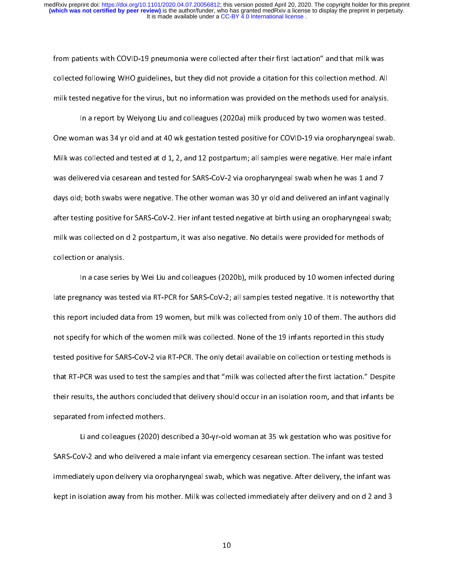from patients with COVID-19 pneumonia were collected after their first lactation" and that milk was<br>collected following WHO guidelines, but they did not provide a citation for this collection method. All milk tested negative for the virus, but no information was provided on the methods used for analysis.

In a report by Weiyong Liu and colleagues (2020a) milk produced by two women was tested. One woman was 34 yr old and at 40 wk gestation tested positive for COVID-19 via oropharyngeal swab. Milk was collected and tested at d 1, 2, and 12 postpartum; all samples were negative. Her male infant was delivered via cesarean and tested for SARS-CoV-2 via oropharyngeal swab when he was 1 and 7 days old; both swabs were negative. The other woman was 30 yr old and delivered an infant vaginally after testing positive for SARS-CoV-2. Her infant tested negative at birth using an oropharyngeal swab; milk was collected on d 2 postpartum, it was also negative. No details were provided for methods of  $\mathcal{L}$  postpartum, it was also negative. No details were provided for methods of methods of methods of methods of methods of methods of methods of methods of methods of methods of methods of methods of methods of method collection or analysis.<br>In a case series by Wei Liu and colleagues (2020b), milk produced by 10 women infected during

late pregnancy was tested via RT-PCR for SARS-CoV-2; all samples tested negative. It is noteworthy that this report included data from 19 women, but milk was collected from only 10 of them. The authors did not specify for which of the women milk was collected. None of the 19 infants reported in this study tested positive for SARS-CoV-2 via RT-PCR. The only detail available on collection or testing methods is that RT-PCR was used to test the samples and that "milk was collected after the first lactation." Despite their results, the authors concluded that delivery should occur in an isolation room, and that infants be separated from infected mothers.

Li and colleagues (2020) described a 30-yr-old woman at 35 wk gestation who was positive for SARS-CoV-2 and who delivered a male infant via emergency cesarean section. The infant was tested immediately upon delivery via oropharyngeal swab, which was negative. After delivery, the infant was kept in isolation away from his mother. Milk was collected immediately after delivery and on d 2 and 3 kept in isolation away from his mother. Milk was collected in mother. Milk was collected in the 2 and 3 and 3 and 3 and 3 and 3 and 3 and 3 and 3 and 3 and 3 and 3 and 3 and 3 and 3 and 3 and 3 and 3 and 3 and 3 and 3 and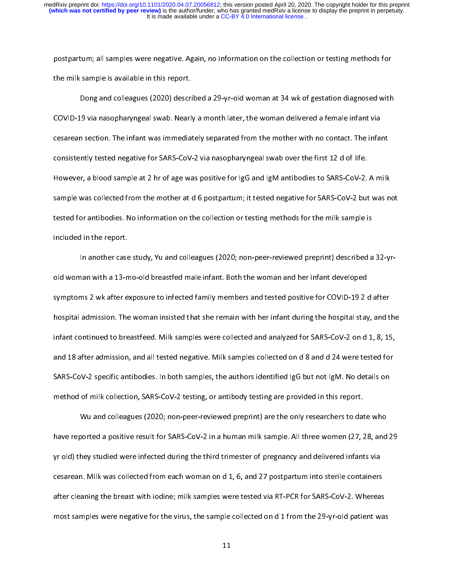postpartum; all samples were negative. Again, no information on the collection or testing methods for<br>the milk sample is available in this report.

Dong and colleagues (2020) described a 29-yr-old woman at 34 wk of gestation diagnosed with COVID-19 via nasopharyngeal swab. Nearly a month later, the woman delivered a female infant via cesarean section. The infant was immediately separated from the mother with no contact. The infant consistently tested negative for SARS-CoV-2 via nasopharyngeal swab over the first 12 d of life. However, a blood sample at 2 hr of age was positive for IgG and IgM antibodies to SARS-CoV-2. A milk sample was collected from the mother at d 6 postpartum; it tested negative for SARS-CoV-2 but was not tested for antibodies. No information on the collection or testing methods for the milk sample is tested for antibodies. No information on the collection or testing methods for the milk sample is<br>included in the report. included in the report.<br>In another case study, Yu and colleagues (2020; non-peer-reviewed preprint) described a 32-yr-

old woman with a 13-mo-old breastfed male infant. Both the woman and her infant developed symptoms 2 wk after exposure to infected family members and tested positive for COVID-19 2 d after hospital admission. The woman insisted that she remain with her infant during the hospital stay, and the infant continued to breastfeed. Milk samples were collected and analyzed for SARS-CoV-2 on d 1, 8, 15, and 18 after admission, and all tested negative. Milk samples collected on d 8 and d 24 were tested for SARS-CoV-2 specific antibodies. In both samples, the authors identified IgG but not IgM. No details on method of milk collection, SARS-CoV-2 testing, or antibody testing are provided in this report.

Wu and colleagues (2020; non-peer-reviewed preprint) are the only researchers to date who have reported a positive result for SARS-CoV-2 in a human milk sample. All three women (27, 28, and 29 yr old) they studied were infected during the third trimester of pregnancy and delivered infants via cesarean. Milk was collected from each woman on d 1, 6, and 27 postpartum into sterile containers after cleaning the breast with iodine; milk samples were tested via RT-PCR for SARS-CoV-2. Whereas most samples were negative for the virus, the sample collected on d 1 from the 29-yr-old patient was most samples were negative for the virus, the samples were negative for the 29-yr-old patient was the 29-yr-ol<br>The samples was the 29-yr-old patient was the 29-yr-old patient was the 29-yr-old patient was the 29-yr-old pa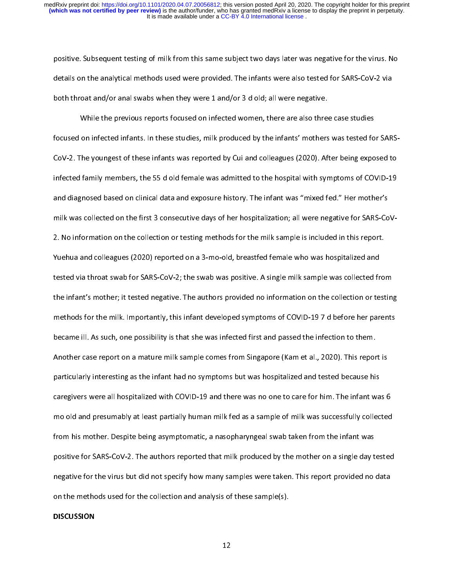positive. Subsequent testing of milk from this same subject two days later was negative for the virus. No<br>details on the analytical methods used were provided. The infants were also tested for SARS-CoV-2 via both throat and/or anal swabs when they were 1 and/or 3 d old; all were negative.

While the previous reports focused on infected women, there are also three case studies focused on infected infants. In these studies, milk produced by the infants' mothers was tested for SARS-CoV-2. The youngest of these infants was reported by Cui and colleagues (2020). After being exposed to infected family members, the 55 d old female was admitted to the hospital with symptoms of COVID-19 and diagnosed based on clinical data and exposure history. The infant was "mixed fed." Her mother's milk was collected on the first 3 consecutive days of her hospitalization; all were negative for SARS-CoV-2. No information on the collection or testing methods for the milk sample is included in this report. Yuehua and colleagues (2020) reported on a 3-mo-old, breastfed female who was hospitalized and tested via throat swab for SARS-CoV-2; the swab was positive. A single milk sample was collected from the infant's mother; it tested negative. The authors provided no information on the collection or testing methods for the milk. Importantly, this infant developed symptoms of COVID-197 d before her parents became ill. As such, one possibility is that she was infected first and passed the infection to them. Another case report on a mature milk sample comes from Singapore (Kam et al., 2020). This report is particularly interesting as the infant had no symptoms but was hospitalized and tested because his caregivers were all hospitalized with COVID-19 and there was no one to care for him. The infant was 6 mo old and presumably at least partially human milk fed as a sample of milk was successfully collected from his mother. Despite being asymptomatic, a nasopharyngeal swab taken from the infant was positive for SARS-CoV-2. The authors reported that milk produced by the mother on a single day tested negative for the virus but did not specify how many samples were taken. This report provided no data on the methods used for the collection and analysis of these sample(s). on the methods used for the methods used for the collection and analysis of the collection and analysis of the<br>International collection and analysis of the collection and analysis of the collection and analysis of the col

### **DISCUSSION**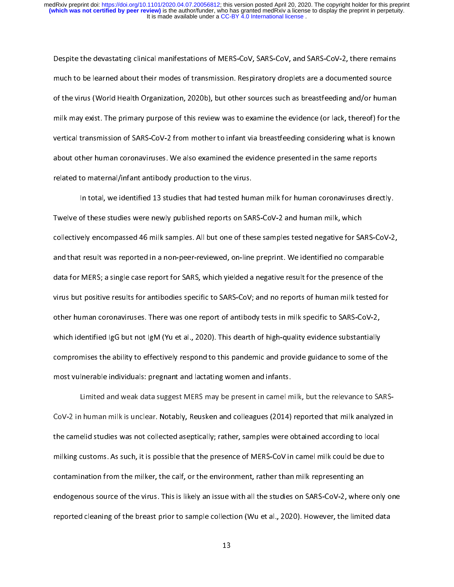Despite the devastating clinical manifestations of MERS-CoV, SARS-CoV, and SARS-CoV-2, there remains<br>much to be learned about their modes of transmission. Respiratory droplets are a documented source of the virus (World Health Organization, 2020b), but other sources such as breastfeeding and/or human milk may exist. The primary purpose of this review was to examine the evidence (or lack, thereof) for the vertical transmission of SARS-CoV-2 from mother to infant via breastfeeding considering what is known about other human coronaviruses. We also examined the evidence presented in the same reports related to maternal/infant antibody production to the virus.

In total, we identified 13 studies that had tested human milk for human coronaviruses directly. Twelve of these studies were newly published reports on SARS-CoV-2 and human milk, which collectively encompassed 46 milk samples. All but one of these samples tested negative for SARS-CoV-2, and that result was reported in a non-peer-reviewed, on-line preprint. We identified no comparable data for MERS; a single case report for SARS, which yielded a negative result for the presence of the virus but positive results for antibodies specific to SARS-CoV; and no reports of human milk tested for other human coronaviruses. There was one report of antibody tests in milk specific to SARS-CoV-2, which identified IgG but not IgM (Yu et al., 2020). This dearth of high-quality evidence substantially compromises the ability to effectively respond to this pandemic and provide guidance to some of the most vulnerable individuals: pregnant and lactating women and infants.

Limited and weak data suggest MERS may be present in camel milk, but the relevance to SARS-CoV-2 in human milk is unclear. Notably, Reusken and colleagues (2014) reported that milk analyzed in the camelid studies was not collected aseptically; rather, samples were obtained according to local milking customs. As such, it is possible that the presence of MERS-CoV in camel milk could be due to contamination from the milker, the calf, or the environment, rather than milk representing an endogenous source of the virus. This is likely an issue with all the studies on SARS-CoV-2, where only one reported cleaning of the breast prior to sample collection (Wu et al., 2020). However, the limited data reported cleaning of the breast prior to sample collection (Wu et al., 2020). However, the limited data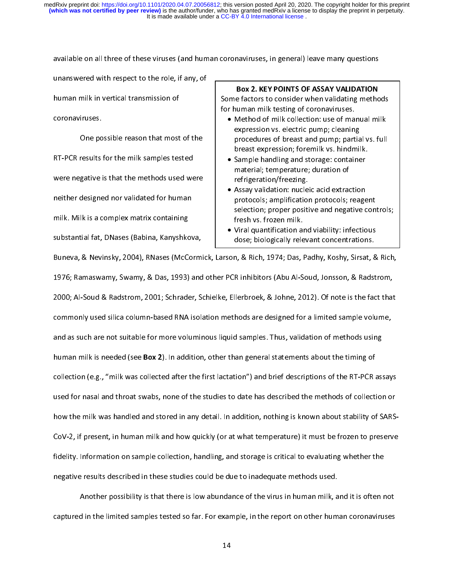available on all three of these viruses (and human coronaviruses, in general) leave many questions

human milk in vertical transmission of coron aviruses.

One possible reason that most of the RT-PCR results for the milk samples tested were negative is that the methods used were neither designed nor validated for human milk. Milk is a complex matrix containing substantial fat, DNases (Babina, Kanyshkova,

Box 2. KEY POINTS OF ASSAY VALIDATION<br>Some factors to consider when validating methods Some factors to consider the consideration given be<br>for human milk testing of coronaviruses.<br>• Method of milk collection: use of manual milk

- Method of milk collection: use of manuscription<br>expression vs. electric pump; cleaning Method of milk concentions is committed milk<br>expression vs. electric pump; cleaning<br>procedures of breast and pump; partial vs. full expression variation pump; cleaning<br>procedures of breast and pump; partia<br>breast expression; foremilk vs. hindmil breast expression; foremilk vs. hindmilk.
	- Sample handling and storage: container<br>material; temperature; duration of material; temperature; duration of<br>refrigeration/freezing. material; temperature; authorition<br>refrigeration/freezing.<br>Assay validation: nucleic acid extrac
	- Assay validation: nucle<br>protocols; amplification protocols; amplification protocols; reagent selection; proper positive and negative controls;<br>fresh vs. frozen milk. selection; property controls; property result fresh vs. frozen milk.<br>Since and intervals; property controls; propertions; propertions; propertions; propertions; propertions; prope
	- Viral quantification ar<br>dose; biologically rele dose; biologically relevant concentrations.

substantial fater and the term of the term of the term of the bandwidth of the Bandwidth Buneva, & Nevinsky, 2004), RNases (McCormick, Larson, & Rich, 1974; Das, Padhy, Koshy, Sirsat, & 1976; Ramaswamy, Swamy, & Das, 1993) and other PCR inhibitors (Abu Al-Soud, Jonsson, & Radstrom, 2000; Al-Soud & Radstrom, 2001; Schrader, Schielke, Ellerbroek, & Johne, 2012). Of note is the fact that commonly used silica column-based RNA isolation methods are designed for a limited sample volume, and as such are not suitable for more voluminous liquid samples. Thus, validation of methods using human milk is needed (see **Box 2**). In addition, other than general statements about the timing of collection (e.g., "milk was collected after the first lactation") and brief descriptions of the RT-PCR assays used for nasal and throat swabs, none of the studies to date has described the methods of collection or how the milk was handled and stored in any detail. In addition, nothing is known about stability of SARS-CoV-2, if present, in human milk and how quickly (or at what temperature) it must be frozen to preserve fidelity. Information on sample collection, handling, and storage is critical to evaluating whether the negative results described in these studies could be due to inadequate methods used.

Another possibility is that there is low abundance of the virus in human milk, and it is often not captured in the limited samples tested so far. For example, in the report on other human coronaviruses captured in the limited samples tested so far. For example, in the report on other human coronaviruses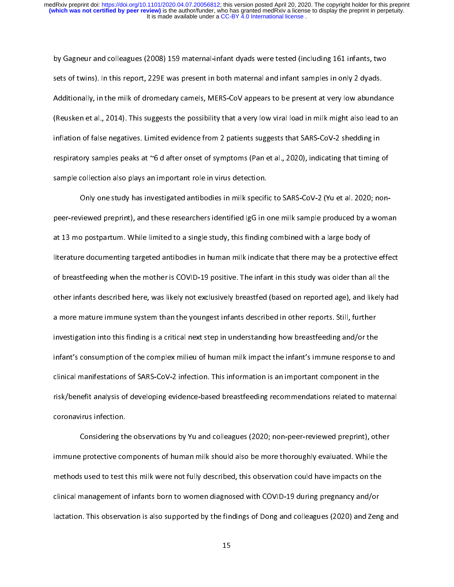by Gagneur and colleagues (2008) 159 maternal-infant dyads were tested (including 161 infants, two<br>sets of twins). In this report, 229E was present in both maternal and infant samples in only 2 dyads. Additionally, in the milk of dromedary camels, MERS-CoV appears to be present at very low abundance (Reusken et al., 2014). This suggests the possibility that a very low viral load in milk might also lead to an inflation of false negatives. Limited evidence from 2 patients suggests that SARS-CoV-2 shedding in respiratory samples peaks at  $\infty$ 6 d after onset of symptoms (Pan et al., 2020), indicating that timing of sample collection also plays an important role in virus detection.

Only one study has investigated antibodies in milk specific to SARS-CoV-2 (Yu et al. 2020; nonpeer-reviewed preprint), and these researchers identified IgG in one milk sample produced by a woman at 13 mo postpartum. While limited to a single study, this finding combined with a large body of literature documenting targeted antibodies in human milk indicate that there may be a protective effect of breastfeeding when the mother is COVID-19 positive. The infant in this study was older than all the other infants described here, was likely not exclusively breastfed (based on reported age), and likely had a more mature immune system than the youngest infants described in other reports. Still, further investigation into this finding is a critical next step in understanding how breastfeeding and/or the infant's consumption of the complex milieu of human milk impact the infant's immune response to and clinical manifestations of SARS-CoV-2 infection. This information is an important component in the risk/benefit analysis of developing evidence-based breastfeeding recommendations related to maternal risk-benefit analysis of developing evidence-based breastfeeding recommendations related to maternalistic relations relations relations relations relations relations relations relations relations relations relations relati coronavirus infection.<br>Considering the observations by Yu and colleagues (2020; non-peer-reviewed preprint), other

immune protective components of human milk should also be more thoroughly evaluated. While the methods used to test this milk were not fully described, this observation could have impacts on the clinical management of infants born to women diagnosed with COVID-19 during pregnancy and/or lactation. This observation is also supported by the findings of Dong and colleagues (2020) and Zeng and  $\mathcal{L}_{\text{max}}$  observation is also supported by the findings of  $\mathcal{L}_{\text{max}}$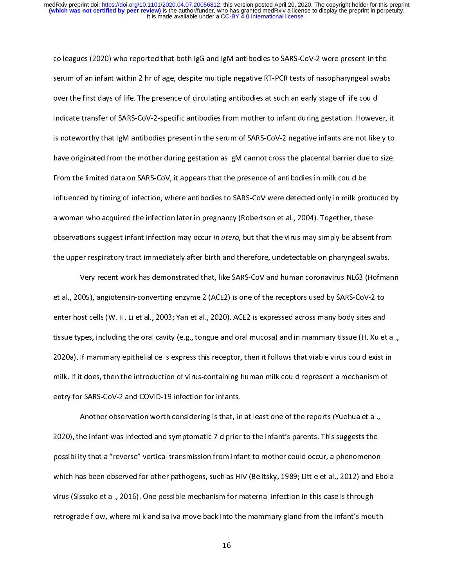colleagues (2020) who reported that both IgG and IgM antibodies to SARS-CoV-2 were present in the over the first days of life. The presence of circulating antibodies at such an early stage of life could indicate transfer of SARS-CoV-2-specific antibodies from mother to infant during gestation. However, it is noteworthy that IgM antibodies present in the serum of SARS-CoV-2 negative infants are not likely to have originated from the mother during gestation as IgM cannot cross the placental barrier due to size. From the limited data on SARS-CoV, it appears that the presence of antibodies in milk could be influenced by timing of infection, where antibodies to SARS-CoV were detected only in milk produced by a woman who acquired the infection later in pregnancy (Robertson et al., 2004). Together, these observations suggest infant infection may occur in utero, but that the virus may simply be absent from the upper respiratory tract immediately after birth and therefore, undetectable on pharyngeal swabs.

Very recent work has demonstrated that, like SARS-CoV and human coronavirus NL63 (Hofmann et al., 2005), angiotensin-converting enzyme 2 (ACE2) is one of the receptors used by SARS-CoV-2 to enter host cells (W. H. Li et al., 2003; Yan et al., 2020). ACE2 is expressed across many body sites and tissue types, including the oral cavity (e.g., tongue and oral mucosa) and in mammary tissue (H. Xu et al., 2020a). If mammary epithelial cells express this receptor, then it follows that viable virus could exist in milk. If it does, then the introduction of virus-containing human milk could represent a mechanism of entry for SARS-CoV-2 and COVID-19 infection for infants.

Another observation worth considering is that, in at least one of the reports (Yuehua et al., 2020), the infant was infected and symptomatic 7 d prior to the infant's parents. This suggests the possibility that a "reverse" vertical transmission from infant to mother could occur, a phenomenon which has been observed for other pathogens, such as HIV (Belitsky, 1989; Little et al., 2012) and Ebola virus (Sissoko et al., 2016). One possible mechanism for maternal infection in this case is through retrograde flow, where milk and saliva move back into the mammary gland from the infant's mouth retrograde flow, where milk and saliva move back into the mammary gland from the infant's mouth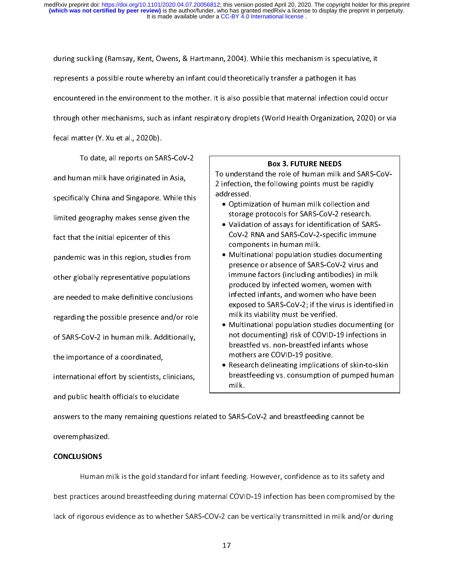during suckling (Ramsay, Kent, Owens, & Hartmann, 2004). While this mechanism is speculative, it<br>represents a possible route whereby an infant could theoretically transfer a pathogen it has encountered in the environment to the mother. It is also possible that maternal infection could occur through other mechanisms, such as infant respiratory droplets (World Health Organization, 2020) or via

fecal matter (Y. Xu et al., 2020b).

To date, all reports on SARS-CoV-2 and human milk have originated in Asia, specifically China and Singapore. While this limited geography makes sense given the fact that the initial epicenter of this pandemic was in this region, studies from other globally representative populations are needed to make definitive conclusions regarding the possible presence and/or role of SARS-CoV-2 in human milk. Additionally, the importance of a coordinated, international effort by scientists, clinicians, and public health officials to elucidate

**Box 3. FUTURE NEEDS**<br>To understand the role of human milk and SARS-CoVaddressed. 2 infection, the following points addressed.<br>• Optimization of human milk collection and

- Optimiz<br>storage storage protocols for SARS-CoV-2 research.
	- Validation of assays for identification of SAR<br>CoV-2 RNA and SARS-CoV-2-specific immune components in human milk. components in human milk.<br>• Multinational population studies documentin
	- components in human milk.<br>Multinational population stu<br>presence or absence of SARS presence or absence of SARS-CoV-2 virus and<br>immune factors (including antibodies) in milk immune factors (including antibodies) in milk<br>produced by infected women, women with immune factors (including antibodies), in milki<br>produced by infected women, women with<br>infected infants, and women who have been produced infants, and women who have been<br>infected infants, and women who have been<br>exposed to SARS-CoV-2; if the virus is identi exposed to SARS-CoV-2; if the virus is identified in milk its viability must be verified. exposed to the verified.<br>• Multinational population studies documenting (or
	- milk interprese of Multinational population studies<br>1991 its viability mot documenting and the COVID not documenting) risk of COVID-19 infections in<br>breastfed vs. non-breastfed infants whose breastfed vs. non-breastfed infants whose<br>mothers are COVID-19 positive. mothers are COVID-19 positive.<br>Research delineating implications of skin-to
- Research delineating implication<br>breastfeeding vs. consumption c breastfeeding vs. consumption of pumped human<br>milk. breastfeed variables variables variables variables variables variables variables variables variables variables milk.

answers to the many remaining questions related to SARS-CoV-2 and breastfeeding cannot be  $\begin{array}{cc} \text{over } \text{empty} \end{array}$  remaining to  $\begin{array}{cc} \text{over } \text{empty} \end{array}$ 

# overemphasized. CONCLUSIONS

Human milk is the gold standard for infant feeding. However, confidence as to its safety and<br>best practices around breastfeeding during maternal COVID-19 infection has been compromised by the lack of rigorous evidence as to whether SARS-COV-2 can be vertically transmitted in milk and/or during lack of rigorous evidence as to whether SARS-COV-2 can be vertically transmitted in milk and/or during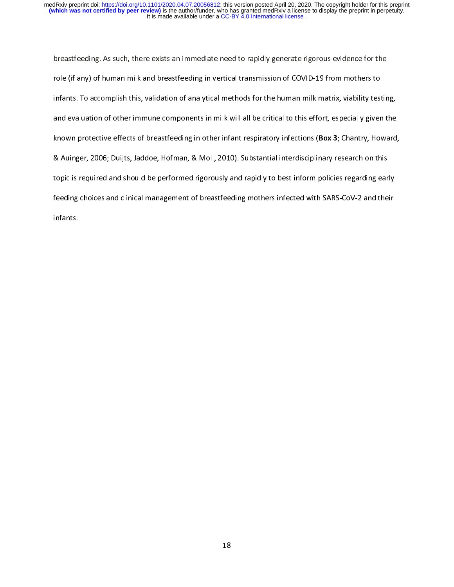breastfeeding. As such, there exists an immediate need to rapidly generate rigorous evidence for the<br>role (if any) of human milk and breastfeeding in vertical transmission of COVID-19 from mothers to infants. To accomplish this, validation of analytical methods for the human milk matrix, viability testing, and evaluation of other immune components in milk will all be critical to this effort, especially given the known protective effects of breastfeeding in other infant respiratory infections (Box 3; Chantry, Howard, & Auinger, 2006; Duijts, Jaddoe, Hofman, & Moll, 2010). Substantial interdisciplinary research on this topic is required and should be performed rigorously and rapidly to best inform policies regarding early feeding choices and clinical management of breastfeeding mothers infected with SARS-CoV-2 and their feeding choices and clinical management of breastfeeding mothers infected with SARS-CoV-2 and their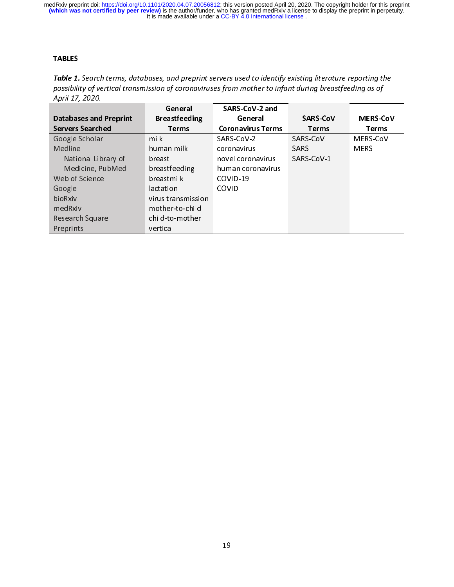## TABLES

Table 1. Search terms, databases, and preprint servers used to identify existing iterature reporting the<br>nossibility of vertical transmission of coronaviruses from mother to infant during breastfeeding as of possibility of vertical transmission of coronaviruses from mother to infant during breastfeeding as of April 17, 2020.

|                               | General              | SARS-CoV-2 and           |                 |                 |
|-------------------------------|----------------------|--------------------------|-----------------|-----------------|
| <b>Databases and Preprint</b> | <b>Breastfeeding</b> | General                  | <b>SARS-CoV</b> | <b>MERS-CoV</b> |
| <b>Servers Searched</b>       | <b>Terms</b>         | <b>Coronavirus Terms</b> | <b>Terms</b>    | <b>Terms</b>    |
| Google Scholar                | milk                 | SARS-CoV-2               | SARS-CoV        | MERS-CoV        |
| Medline                       | human milk           | coronavirus              | <b>SARS</b>     | <b>MERS</b>     |
| National Library of           | breast               | novel coronavirus        | SARS CoV-1      |                 |
| Medicine, PubMed              | breastfeeding        | human coronavirus        |                 |                 |
| Web of Science                | breastmilk           | COVID-19                 |                 |                 |
| Google                        | lactation            | <b>COVID</b>             |                 |                 |
| bioRxiv                       | virus transmission   |                          |                 |                 |
| medRxiv                       | mother-to-child      |                          |                 |                 |
| Research Square               | child-to-mother      |                          |                 |                 |
| Preprints                     | vertical             |                          |                 |                 |
|                               |                      |                          |                 |                 |
|                               |                      |                          |                 |                 |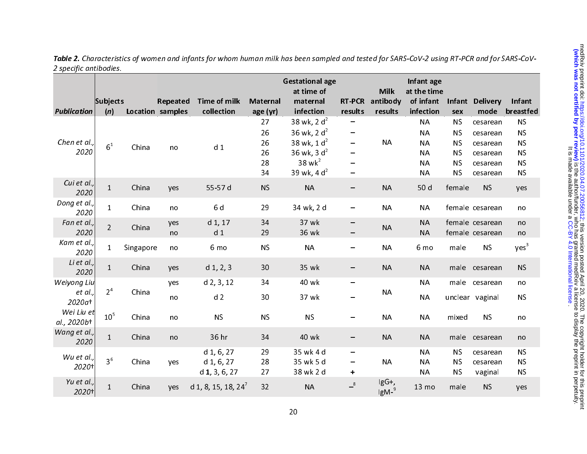|                           | Subjects        |           | Repeated                | <b>Time of milk</b>                           | <b>Maternal</b> | <b>Gestational age</b><br>at time of<br>maternal         | <b>RT-PCR</b>                              | <b>Milk</b><br>antibody   | Infant age<br>at the time<br>of infant | Infant                              | <b>Delivery</b>                    | Infant                              |
|---------------------------|-----------------|-----------|-------------------------|-----------------------------------------------|-----------------|----------------------------------------------------------|--------------------------------------------|---------------------------|----------------------------------------|-------------------------------------|------------------------------------|-------------------------------------|
| <b>Publication</b>        | (n)             |           | <b>Location samples</b> | collection                                    | age (yr)        | infection                                                | results                                    | results                   | infection                              | sex                                 | mode                               | breastfed                           |
| Chen et al.,              | 6 <sup>1</sup>  | China     | no                      | d <sub>1</sub>                                | 27<br>26<br>26  | 38 wk, 2 $d^2$<br>36 wk, 2 $d^2$<br>38 wk, $1 d2$        | -<br>$\overline{\phantom{m}}$              | <b>NA</b>                 | <b>NA</b><br><b>NA</b><br><b>NA</b>    | <b>NS</b><br><b>NS</b><br><b>NS</b> | cesarean<br>cesarean<br>cesarean   | <b>NS</b><br><b>NS</b><br><b>NS</b> |
| 2020                      |                 |           |                         |                                               | 26<br>28<br>34  | 36 wk, 3 $d^2$<br>$38$ wk <sup>2</sup><br>39 wk, 4 $d^2$ | -<br>-                                     |                           | <b>NA</b><br><b>NA</b><br><b>NA</b>    | <b>NS</b><br><b>NS</b><br><b>NS</b> | cesarean<br>cesarean<br>cesarean   | <b>NS</b><br><b>NS</b><br><b>NS</b> |
| Cui et al.,<br>2020       | $\mathbf{1}$    | China     | yes                     | 55-57 d                                       | <b>NS</b>       | <b>NA</b>                                                | -                                          | <b>NA</b>                 | 50 d                                   | female                              | <b>NS</b>                          | yes                                 |
| Dong et al.,<br>2020      | $\mathbf{1}$    | China     | no                      | 6 d                                           | 29              | 34 wk, 2 d                                               |                                            | <b>NA</b>                 | <b>NA</b>                              |                                     | female cesarean                    | no                                  |
| Fan et al.,<br>2020       | $\overline{2}$  | China     | yes<br>no               | $d_1$ , 17<br>d <sub>1</sub>                  | 34<br>29        | 37 wk<br>36 wk                                           | -                                          | <b>NA</b>                 | <b>NA</b><br><b>NA</b>                 |                                     | female cesarean<br>female cesarean | no<br>no                            |
| Kam et al.,<br>2020       | $\mathbf{1}$    | Singapore | no                      | 6 mo                                          | <b>NS</b>       | <b>NA</b>                                                |                                            | <b>NA</b>                 | 6 mo                                   | male                                | <b>NS</b>                          | yes <sup>3</sup>                    |
| Li et al.,<br>2020        | $\mathbf{1}$    | China     | yes                     | $d$ 1, 2, 3                                   | 30              | 35 wk                                                    | -                                          | <b>NA</b>                 | <b>NA</b>                              |                                     | male cesarean                      | <b>NS</b>                           |
| Weiyong Liu               |                 |           | yes                     | $d$ 2, 3, 12                                  | 34              | 40 wk                                                    | $\overline{\phantom{m}}$                   |                           | <b>NA</b>                              |                                     | male cesarean                      | no                                  |
| et al.,<br>2020at         | 2 <sup>4</sup>  | China     | no                      | d <sub>2</sub>                                | 30              | 37 wk                                                    |                                            | <b>NA</b>                 | <b>NA</b>                              |                                     | unclear vaginal                    | <b>NS</b>                           |
| Wei Liu et<br>al., 2020b+ | 10 <sup>5</sup> | China     | no                      | <b>NS</b>                                     | <b>NS</b>       | <b>NS</b>                                                |                                            | <b>NA</b>                 | <b>NA</b>                              | mixed                               | <b>NS</b>                          | no                                  |
| Wang et al.,<br>2020      | $\mathbf{1}$    | China     | no                      | 36 hr                                         | 34              | 40 wk                                                    |                                            | <b>NA</b>                 | <b>NA</b>                              |                                     | male cesarean                      | no                                  |
| Wu et al.,<br>2020+       | 3 <sup>6</sup>  | China     | yes                     | $d$ 1, 6, 27<br>d 1, 6, 27<br>$d$ 1, 3, 6, 27 | 29<br>28<br>27  | 35 wk 4 d<br>35 wk 5 d<br>38 wk 2 d                      | $\overline{\phantom{m}}$<br>-<br>$\ddot{}$ | <b>NA</b>                 | <b>NA</b><br><b>NA</b><br><b>NA</b>    | <b>NS</b><br><b>NS</b><br><b>NS</b> | cesarean<br>cesarean<br>vaginal    | <b>NS</b><br><b>NS</b><br><b>NS</b> |
| Yu et al.,<br>2020+       | $\mathbf{1}$    | China     | yes                     | d 1, 8, 15, 18, 24'                           | 32              | <b>NA</b>                                                | $-8$                                       | IgG+,<br>lgM <sup>9</sup> | 13 mo                                  | male                                | <b>NS</b>                          | yes                                 |

Table 2. Characteristics of women and infants for whom human milk has been sampled and tested for SARS-CoV-2 using RT-PCR and for SARS-CoV-2 specific antibodies.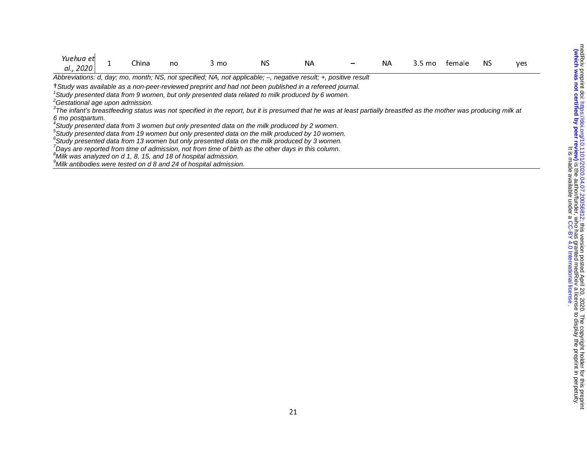| Yuehua et<br>al., 2020                                                                                                                                                          |  | China | no | 3 mo | ΝS | NА |  | NА | 3.5 mo | temale | ΝS | yes |
|---------------------------------------------------------------------------------------------------------------------------------------------------------------------------------|--|-------|----|------|----|----|--|----|--------|--------|----|-----|
| Abbreviations: d, day; mo, month; NS, not specified; NA, not applicable; -, negative result; +, positive result                                                                 |  |       |    |      |    |    |  |    |        |        |    |     |
| †Study was available as a non-peer-reviewed preprint and had not been published in a refereed journal.                                                                          |  |       |    |      |    |    |  |    |        |        |    |     |
| <sup>1</sup> Study presented data from 9 women, but only presented data related to milk produced by 6 women.                                                                    |  |       |    |      |    |    |  |    |        |        |    |     |
| <sup>2</sup> Gestational age upon admission.                                                                                                                                    |  |       |    |      |    |    |  |    |        |        |    |     |
| <sup>3</sup> The infant's breastfeeding status was not specified in the report, but it is presumed that he was at least partially breastfed as the mother was producing milk at |  |       |    |      |    |    |  |    |        |        |    |     |
| 6 mo postpartum.                                                                                                                                                                |  |       |    |      |    |    |  |    |        |        |    |     |
| <sup>4</sup> Study presented data from 3 women but only presented data on the milk produced by 2 women.                                                                         |  |       |    |      |    |    |  |    |        |        |    |     |
| <sup>5</sup> Study presented data from 19 women but only presented data on the milk produced by 10 women.                                                                       |  |       |    |      |    |    |  |    |        |        |    |     |
| ${}^6$ Study presented data from 13 women but only presented data on the milk produced by 3 women.                                                                              |  |       |    |      |    |    |  |    |        |        |    |     |
| Days are reported from time of admission, not from time of birth as the other days in this column.                                                                              |  |       |    |      |    |    |  |    |        |        |    |     |
| <sup>8</sup> Milk was analyzed on d 1, 8, 15, and 18 of hospital admission.                                                                                                     |  |       |    |      |    |    |  |    |        |        |    |     |
| $\degree$ Milk antibodies were tested on d 8 and 24 of hospital admission.                                                                                                      |  |       |    |      |    |    |  |    |        |        |    |     |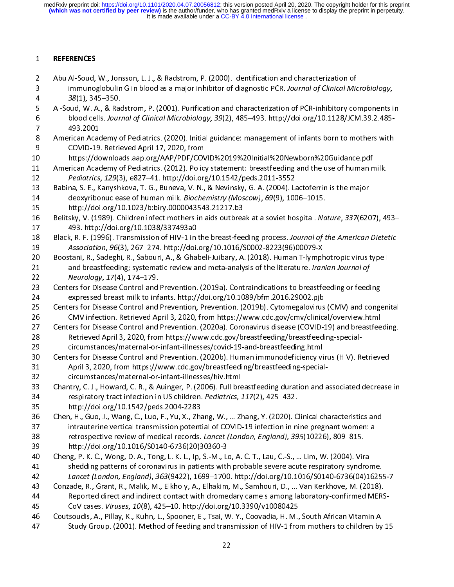$\frac{1}{2}$ 2 Abu Al-Soud,<br>3 immunog<br>4 38(1), 34<br>5 Al-Soud, W. A<br>6 blood cel<br>7 493.2001 2 Abu Al-Soud, W. A., & Radstrom, P. (2001). Purification and characterization of PCR-inhibitory couples and Al-Soud, W. A., & Radstrom, P. (2001). Purification and characterization of PCR-inhibitory couples and characteri 38(1), 345–350.<br>
Al-Soud, W. A., & Radstrom, P. (2001). Purification and characterization of PCR-inhibitory components i<br>
blood cells. Journal of Clinical Microbiology, 39(2), 485–493. http://doi.org/10.1128/JCM.39.2.485-4 Al-Soud, W. A., & Rac<br>6 blood cells. Journ<br>7 493.2001<br>8 American Academy c<br>9 COVID-19. Retrie<br>1 American Academy c 5 blood cells. Journal of Clinical Microbiology, 39(2), 485–493. http://doi.org/10.1128/JCM.39.2.485–493.2001<br>
493.2001<br>
American Academy of Pediatrics. (2020). Initial guidance: management of infants born to mothers with<br> blood cells. Journal of Clinical Microbiology, 39(2), 485–493. http://doi.org/10.1128/JCM.39.2.485–493. 2001<br>
8 American Academy of Pediatrics. (2020). Initial guidance: management of infants born to mothers with<br>
6 COVID-8 American Acad<br>
9 COVID-19<br>
1 https://dc<br>
1 American Acad<br>
2 *Pediatrics*,<br>
3 Babina, S. E., K<br>
4 deoxyribo 8 COVID-19. Retrieved April 17, 2020, from<br>
8 https://downloads.aap.org/AAP/PDF/COVID%2019%20Initial%20Newborn%20Guidance.pdf<br>
8 American Academy of Pediatrics. (2012). Policy statement: breastfeeding and the use of human 9 https://downloads.aap.org/AAP/PDF/COV<br>
9 https://downloads.aap.org/AAP/PDF/COV<br>
9 American Academy of Pediatrics. (2012). Polic<br>
9 Pediatrics, 129(3), e827–41. http://doi.org<br>
8 Babina, S. E., Kanyshkova, T. G., Buneva, 11 American Academy of Pediatrics. (2012). Policy statement: breastfeeding and the use of human n<br>
12 Pediatrics, 129(3), e827–41. http://doi.org/10.1542/peds.2011-3552<br>
13 Babina, S. E., Kanyshkova, T. G., Buneva, V. N., 12 *Pediatrics, 129*(3), e827–41. http://doi.org/10.1542/peds.2011-3552<br>
13 Babina, S. E., Kanyshkova, T. G., Buneva, V. N., & Nevinsky, G. A. (2004). Lactoferrin is the major<br>
14 deoxyribonuclease of human milk. *Biochemi* 12 Pediatrics, 129(3), e827–41. http://doi.org/10.1942/peds.2011-3352<br>
13 Babina, S. E., Kanyshkova, T. G., Buneva, V. N., & Nevinsky, G. A. (2004). La<br>
14 deoxyribonuclease of human milk. *Biochemistry (Moscow), 69*(9), 1 deoxyribonuclease of human milk. Biochemistry (Moscow), 69(9), 1006-1015.<br>
15 http://doi.org/10.1023/b:biry.0000043543.21217.b3<br>
16 Belitsky, V. (1989). Children infect mothers in aids outbreak at a soviet hospital. Nature 14 deoxyribonuclease of human mink. Biochemistry (Moscow), 09(9), 1000–1013.<br>
15 http://doi.org/10.1023/b:biry.0000043543.21217.b3<br>
16 Belitsky, V. (1989). Children infect mothers in aids outbreak at a soviet hospital. Na<br> 16 Belitsky, V. (1989). Children infect mothers in aids outbread<br>17 493. http://doi.org/10.1038/337493a0<br>18 Black, R. F. (1996). Transmission of HIV-1 in the breast-fee<br>19 Association, 96(3), 267–274. http://doi.org/10.101 16 Belitsky, V. (1989). Children infect mothers in aids outbreak at a soviet hospital. Muture, 337(6207), 453–493.<br>
16 Black, R. F. (1996). Transmission of HIV-1 in the breast-feeding process. Journal of the American Diete 18 Black, R. F. (1996). Transmission of HIV-1 in<br>19 Association, 96(3), 267–274. http://doi.<br>20 Boostani, R., Sadeghi, R., Sabouri, A., & Gha<br>21 and breastfeeding; systematic review a<br>22 Neurology, 17(4), 174–179.<br>23 Cente Example 18 Black, R. F. (1996). Transmission of HIV-1 in the breast-feeding process. Journal of the American Dietetic<br>19 Association, 96(3), 267–274. http://doi.org/10.1016/S0002-8223(96)00079-X<br>20 Boostani, R., Sadeghi, R Association, 96(3), 267–274. http://doi.org/10.1016/30002-8223(36)00079-X-<br>
20 Boostani, R., Sadeghi, R., Sabouri, A., & Ghabeli-Juibary, A. (2018). Human T-lymph<br>
21 and breastfeeding; systematic review and meta-analysis 21 and breastfeeding; systematic review and meta-analysis of the literature. Iranian Journal of<br>22 and breastfeeding; systematic review and meta-analysis of the literature. Iranian Journal of<br>22 Centers for Disease Control 21 and breastfeeding; systematic review and meta-analysis of the literature. Iramian Journal of<br>22 *Neurology, 17*(4), 174–179.<br>23 Centers for Disease Control and Prevention. (2019a). Contraindications to breastfeeding or 22 Neurology, 27(4), 174–179.<br>
23 Centers for Disease Control and<br>
24 expressed breast milk to inf.<br>
25 Centers for Disease Control and<br>
26 CMV infection. Retrieved Ap<br>
27 Centers for Disease Control and<br>
28 Retrieved Apri 24 expressed breast milk to infants. http://doi.org/10.1089/bfm.2016.29002.pjb<br>25 Centers for Disease Control and Prevention, Prevention. (2019b). Cytomegalovirus (CMV) and conge<br>26 CMV infection. Retrieved April 3, 2020, 25 Centers for Disease Control and Prevention, Prevention. (2019b). Cytomegalovirus<br>26 CMV infection. Retrieved April 3, 2020, from https://www.cdc.gov/cmv/clinica<br>27 Centers for Disease Control and Prevention. (2020a). Co 26 CMV infection. Retrieved April 3, 2020, from https://www.cdc.gov/cmv/clinical/overview.html<br>27 Centers for Disease Control and Prevention. (2020a). Coronavirus disease (COVID-19) and breastfeeding.<br>28 Retrieved April 3, Centers for Disease Control and Prevention. (2020a). Coronavirus disease (COVID-19) and breastfee<br>
28 Retrieved April 3, 2020, from https://www.cdc.gov/breastfeeding/breastfeeding-special-<br>
29 circumstances/maternal-or-inf 28 Retrieved April 3, 2020, from https://www.cdc.gov/breastfeeding/breastfeeding-special-<br>29 Retrieved April 3, 2020, from https://www.cdc.gov/breastfeeding/breastfeeding-special-<br>29 Centers for Disease Control and Prevent 35 http://doi.org/10.1542/peds.2004-2283 29 Centers for Disease Control and Prevention. (2020b). Human immunodeficiency vi<br>
21 April 3, 2020, from https://www.cdc.gov/breastfeeding/breastfeeding-special<br>
22 circumstances/maternal-or-infant-illnesses/hiv.html<br>
23 31 April 3, 2020, from https://www.cdc.gov/breastfeeding/breastfeeding-special-<br>32 circumstances/maternal-or-infant-illnesses/hiv.html<br>33 Chantry, C. J., Howard, C. R., & Auinger, P. (2006). Full breastfeeding duration and 38 retrospective review of medical records. Lancet (London, England), 395(10226), 809-815. 23 Chantry, C. J., Howard, C. R., & Auinger, P. (2006). Full bre<br>
134 respiratory tract infection in US children. *Pediatrics*, 1<br>
35 http://doi.org/10.1542/peds.2004-2283<br>
36 Chen, H., Guo, J., Wang, C., Luo, F., Yu, X., 34 respiratory tract infection in US children. *Pediatrics*, 117(2), 425–432.<br>35 http://doi.org/10.1542/peds.2004-2283<br>36 Chen, H., Guo, J., Wang, C., Luo, F., Yu, X., Zhang, W., ... Zhang, Y. (2020). Clinical characterist 1941<br>35 http://doi.org/10.1542/peds.2004-2283<br>36 Chen, H., Guo, J., Wang, C., Luo, F., Yu, X., Zhang, W., ... Zhang, Y. (2020). C<br>37 intrauterine vertical transmission potential of COVID-19 infection in ni<br>38 retrospective 36 Chen, H., Guo, J., Wang, C., Luo, F., Yu, X., Zha<br>37 intrauterine vertical transmission potent<br>38 retrospective review of medical records.<br>39 http://doi.org/10.1016/S0140-6736(20)3<br>40 Cheng, P. K. C., Wong, D. A., Tong, intrauterine vertical transmission potential of COVID-19 infection in nine pregnant women: a<br>
38 retrospective review of medical records. *Lancet (London, England), 395*(10226), 809–815.<br>
39 http://doi.org/10.1016/S0140-67 138 retrospective review of medical records. *Lancet (London, England), 395*(10226), 809–815.<br>
139 http://doi.org/10.1016/S0140-6736(20)30360-3<br>
140 Cheng, P. K. C., Wong, D. A., Tong, L. K. L., Ip, S.-M., Lo, A. C. T., La 28 retrospective review of medical records. *Lancet (London, England), 355*(10220), 809–815.<br>
39 http://doi.org/10.1016/S0140-6736(20)30360-3<br>
40 Cheng, P. K. C., Wong, D. A., Tong, L. K. L., Ip, S.-M., Lo, A. C. T., Lau, 40 Cheng, P. K. C., Wong, D. A., Tong, L. K. L., Ip, S.-M., Let shedding patterns of coronavirus in patients with<br>42 *Lancet (London, England), 363*(9422), 1699–1700<br>43 Conzade, R., Grant, R., Malik, M., Elkholy, A., Elhak shedding patterns of coronavirus in patients with probable severe acute respiratory syndron<br>42 Lancet (London, England), 363(9422), 1699–1700. http://doi.org/10.1016/S0140-6736(04)16<br>43 Conzade, R., Grant, R., Malik, M., E Lancet (London, England), 363(9422), 1699–1700. http://doi.org/10.1016/S0140-6736(04)1625!<br>Conzade, R., Grant, R., Malik, M., Elkholy, A., Elhakim, M., Samhouri, D., ... Van Kerkhove, M. (2018).<br>Reported direct and indirec 24 Lancet (London, England), 363(9422), 1699–1700. http://doi.org/10.1016/30140-6736(04)16233-7<br>
43 Conzade, R., Grant, R., Malik, M., Elkholy, A., Elhakim, M., Samhouri, D., ... Van Kerkhove, M. (2018).<br>
44 Reported direc 144 Reported direct and indirect contact with dromedary camels among laboratory-confirmed MERS<br>
CoV cases. *Viruses, 10*(8), 425–10. http://doi.org/10.3390/v10080425<br>
Coutsoudis, A., Pillay, K., Kuhn, L., Spooner, E., Tsai 46 Coutsoudis, A., Pillay, K., Kuhn, L., Spooner, E., Tsai, W. Y., Coovadia, H. M., Study Group. (2001). Method of feeding and transmission of HIV-1 fro<br>22 47 Study Group. (2001). Method of feeding and transmission of HIV-1 from mothers to children by<br>22  $\frac{22}{\sqrt{1-\frac{1}{2}}\sqrt{1-\frac{1}{2}}\sqrt{1-\frac{1}{2}}\sqrt{1-\frac{1}{2}}}}$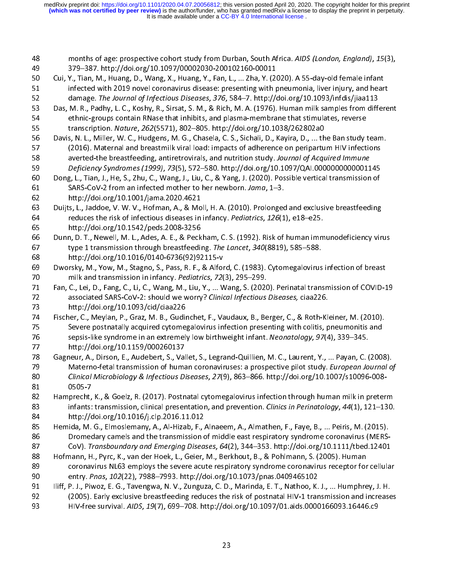$\frac{1}{2}$ months of age: prospective cohort study from Durban, South Africa. AIDS (London, England), 15(3),<br>
379–387. http://doi.org/10.1097/00002030-200102160-00011<br>
Cui, Y., Tian, M., Huang, D., Wang, X., Huang, Y., Fan, L., ... Z Cui, Y., Tian, M., Huang, D., Wang, X., Huang, Y., Fan, L., ... Zha, Y. (20<br>
infected with 2019 novel coronavirus disease: presenting with p<br>
damage. The Journal of Infectious Diseases, 376, 584–7. http://<br>
Das, M. R., Pad infected with 2019 novel coronavirus disease: presenting with pneumonia, liver injury, and hear<br>
damage. The Journal of Infectious Diseases, 376, 584–7. http://doi.org/10.1093/infdis/jiaa113<br>
Das, M. R., Padhy, L. C., Kosh damage. The Journal of Infectious Diseases, 376, 584–7. http://doi.org/10.1093/infdis/jiaa113<br>
Das, M. R., Padhy, L. C., Koshy, R., Sirsat, S. M., & Rich, M. A. (1976). Human milk samples from differe<br>
ethnic-groups contai damage. The Journal of Infectious Diseases, 376, 384–7. http://doi.org/10.1033/indis/jiaa113<br>
Das, M. R., Padhy, L. C., Koshy, R., Sirsat, S. M., & Rich, M. A. (1976). Human milk samples from differentinc-groups contain RN 54 ethnic-groups contain RNase that inhibits, and plasma-membrane that stimulates, reverse<br>55 transcription. *Nature, 262*(5571), 802–805. http://doi.org/10.1038/262802a0<br>56 Davis, N. L., Miller, W. C., Hudgens, M. G., Cha transcription. *Nature, 262*(5571), 802–805. http://doi.org/10.1038/262802a0<br>
Davis, N. L., Miller, W. C., Hudgens, M. G., Chasela, C. S., Sichali, D., Kayira, D., ... the Ban study 1<br>
(2016). Maternal and breastmilk viral Example of Muller, W. C., Hudgens, M. G., Chasela, C. S., Sichali, D., Kayira, D., ... th<br>
55 Davis, N. L., Miller, W. C., Hudgens, M. G., Chasela, C. S., Sichali, D., Kayira, D., ... th<br>
57 (2016). Maternal and breastmilk (2016). Maternal and breastmilk viral load: impacts of adherence on peripartum HIV infections<br>
space averted-the breastfeeding, antiretrovirals, and nutrition study. Journal of Acquired Immune<br>
Deficiency Syndromes (1999), 58 averted-the breastfeeding, antiretrovirals, and nutrition study. Journal of Acquired Immune<br>59 Deficiency Syndromes (1999), 73(5), 572–580. http://doi.org/10.1097/QAI.0000000000001145<br>50 Dong, L., Tian, J., He, S., Zhu, So averted-the breastreeding, antiretrovirals, and nutrition study. Journal of Acquired Immune<br>
Deficiency Syndromes (1999), 73(5), 572–580. http://doi.org/10.1097/QAI.0000000000011<br>
Dong, L., Tian, J., He, S., Zhu, C., Wa Experiency Syndromes (1999), 79(5), 372–580. http://doi.org/10.1097/QAI.00000000000001145<br>
60 Dong, L., Tian, J., He, S., Zhu, C., Wang, J., Liu, C., & Yang, J. (2020). Possible vertical transmission of<br>
64 SARS-CoV-2 from 61 SARS-CoV-2 from an infected mother to her newborn. Jama, 1–3.<br>62 http://doi.org/10.1001/jama.2020.4621<br>63 Duijts, L., Jaddoe, V. W. V., Hofman, A., & Moll, H. A. (2010). Prolonged and exclusive breastfeeding<br>64 reduces 62 http://doi.org/10.1001/jama.2020.4621<br>63 Duijts, L., Jaddoe, V. W. V., Hofman, A., & Moll, H. A. (2010). Prolongec<br>64 reduces the risk of infectious diseases in infancy. *Pediatrics*, 126(1<br>65 http://doi.org/10.1542/ped Example, J. L., Jaddoe, V. W. V., Hofman, A., & Mo<br>64 reduces the risk of infectious diseases in<br>65 http://doi.org/10.1542/peds.2008-3256<br>66 Dunn, D. T., Newell, M. L., Ades, A. E., & Peck<br>67 type 1 transmission through br Duijts, L., Jaddoe, V. W. V., Hofman, A., & Moll, H. A. (2010). Prolonged and exclusive breastfeeding<br>
reduces the risk of infectious diseases in infancy. *Pediatrics*, 126(1), e18–e25.<br>
http://doi.org/10.1542/peds.2008-32 Feddes the risk of infectious diseases in mancy. Pediatrics, 120(1), e18–e25.<br>
65 http://doi.org/10.1542/peds.2008-3256<br>
66 Dunn, D. T., Newell, M. L., Ades, A. E., & Peckham, C. S. (1992). Risk of human imm<br>
67 type 1 tra 66 Dunn, D. T., Newell, M. L., Ades, A. E., & Peck<br>67 type 1 transmission through breastfeedin<br>68 http://doi.org/10.1016/0140-6736(92)92<br>69 Dworsky, M., Yow, M., Stagno, S., Pass, R. F.,<br>70 milk and transmission in infancy type 1 transmission through breastfeeding. The Lancet, 340(8819), 585–588.<br>
http://doi.org/10.1016/0140-6736(92)92115-v<br>
Dworsky, M., Yow, M., Stagno, S., Pass, R. F., & Alford, C. (1983). Cytomegalovirus infection of brea eration of type 1 transmission through breastfeeding. The Lancet, 340(8815), 385–388.<br>
http://doi.org/10.1016/0140-6736(92)92115-v<br>
Dworsky, M., Yow, M., Stagno, S., Pass, R. F., & Alford, C. (1983). Cytomegalovirus<br>
milk Example, The Pierry Premis, School (Space 20)<br>
69 Dworsky, M., Yow, M., Stagno, S., Pass, R. F., & Alfor<br>
70 milk and transmission in infancy. *Pediatrics*, 72<br>
71 Fan, C., Lei, D., Fang, C., Li, C., Wang, M., Liu, Y., ... Fan, C., Lei, D., Fang, C., Li, C., Wang, M., Liu, Y., ... Wang, S. (2020). Perinatal transmission of COVID-19<br>
19 associated SARS-CoV-2: should we worry? *Clinical Infectious Diseases,* ciaa226.<br>
19 http://doi.org/10.1093 Fan, C., Lei, D., Fang, C., Li, C., Wang, M., Liu, Y., ... Wang, S. (2020<br>
Then, C., Lei, D., Fang, C., Li, C., Wang, M., Liu, Y., ... Wang, S. (2020<br>
The associated SARS-CoV-2: should we worry? *Clinical Infectious*<br>
http 11 Fan, C., Ley, Ley, Ley, C., C., Ley, Leving, P., Leving, P., Leving, P., Leving, P., Leving, D., Leving, D.<br>
12 associated SARS-CoV-2: should we worry? Clinical Infectious Diseases, ciaa226.<br>
13 http://doi.org/10.1093/c associated SARS-Cov-2: should we worry? Clinical Infectious Diseases, ciaa220.<br>
173 http://doi.org/10.1093/cid/ciaa226<br>
174 Fischer, C., Meylan, P., Graz, M. B., Gudinchet, F., Vaudaux, B., Berger, C., & Roth-Klis<br>
175 Sev 74 Fischer, C., Meylan, P., Graz, M. B., Gudir<br>75 Severe postnatally acquired cytome,<br>77 http://doi.org/10.1159/000260137<br>78 Gagneur, A., Dirson, E., Audebert, S., Vall<br>79 Materno-fetal transmission of huma<br>80 *Clinical Mi* Severe postnatally acquired cytomegalovirus infection presenting with colitis, pneumonitis and<br>
sepsis-like syndrome in an extremely low birthweight infant. Neonatology, 97(4), 339–345.<br>
http://doi.org/10.1159/000260137<br>
G For the syndrome in an extremely low birthweight infant. Neonatology, 97(4), 339–345.<br>
177 Sagneur, A., Dirson, E., Audebert, S., Vallet, S., Legrand-Quillien, M. C., Laurent, Y., ... Payan, C. (2008)<br>
179 Materno-fetal tr For Sepsis-like syndrome in an extremely low birthweight infant. Neonatology, 97(4), 339–345.<br>
176 Sagneur, A., Dirson, E., Audebert, S., Vallet, S., Legrand-Quillien, M. C., Laurent, Y., ... Payan, C. (<br>
176 Materno-fetal 78 Gagneur, A., Dirson, E., Audebert, S., Val<br>79 Materno-fetal transmission of huma<br>80 *Clinical Microbiology & Infectious Di*<br>81 0505-7<br>82 Hamprecht, K., & Goelz, R. (2017). Postn<br>83 infants: transmission, clinical preser Materno-fetal transmission of human coronaviruses: a prospective pilot study. *European Journal of Clinical Microbiology & Infectious Diseases, 27(9), 863–866. http://doi.org/10.1007/s10096-008-<br>81 Gagnerich, K., & Goelz,* 79 Materio-fetal transmission of human coronaviruses: a prospective pilot study. European Journal of<br>
29 Clinical Microbiology & Infectious Diseases, 27(9), 863–866. http://doi.org/10.1007/s10096-008-<br>
29 Hamprecht, K., & emical Microbiology & Infectious Diseases, 27(9), 863–866. http://doi.org/10.1007/s10096-866<br>81 Clinical Microbiology & Infectious Diseases, 27(9), 863–866. http://doi.org/10.1007/s10096-008-<br>82 Hamprecht, K., & Goelz, R. 82 Hamprecht,<br>83 infants:<br>84 http://c<br>85 Hemida, M.<br>86 Dromec<br>87 CoV). Ti infants: transmission, clinical presentation, and prevention. *Clinics in Perinatology, 44*(1), 121–130.<br>
84 http://doi.org/10.1016/j.clp.2016.11.012<br>
85 Hemida, M. G., Elmoslemany, A., Al-Hizab, F., Alnaeem, A., Almathen, mains: transmission, clinical presentation, and prevention. clinics in Fermatology, 44(1), 121–130.<br>
84 http://doi.org/10.1016/j.clp.2016.11.012<br>
85 Hemida, M. G., Elmoslemany, A., Al-Hizab, F., Alnaeem, A., Almathen, F., 84 http://doi.org/10.1016/j.clp.2016.11.012<br>85 Hemida, M. G., Elmoslemany, A., Al-Hizab, F., Alnaeem, A., Almathen, F., Faye, B., ... Peiris, M. (2015).<br>86 Dromedary camels and the transmission of middle east respiratory s Behavior of middle east respiratory syndrome coronavirus (MERS-<br>
85 Dromedary camels and the transmission of middle east respiratory syndrome coronavirus (MERS-<br>
87 CoV). Transboundary and Emerging Diseases, 64(2), 344–353 93 HIV-free survival. AIDS, 19(7), 699-708. http://doi.org/10.1097/01.aids.0000166093.16446.c9 88 Hofmann, H., Pyrc, K., van der Hoek, L., Geier, M., Berkhout, B., & Pohlmann, S. (2005). Human<br>89 coronavirus NL63 employs the severe acute respiratory syndrome coronavirus receptor for cellular<br>89 employs the severe ac coronavirus NL63 employs the severe acute respiratory syndrome coronavirus receptor for<br>
90 entry. *Pnas, 102*(22), 7988–7993. http://doi.org/10.1073/pnas.0409465102<br>
91 liff, P. J., Piwoz, E. G., Tavengwa, N. V., Zunguza, entry. *Pnas, 102*(22), 7988–7993. http://doi.org/10.1073/pnas.0409465102<br>
191 liff, P. J., Piwoz, E. G., Tavengwa, N. V., Zunguza, C. D., Marinda, E. T., Nathoo, K. J., ... Humphrey, J. H.<br>
192 (2005). Early exclusive bre 90 entry. *Finas, 102*(22), 7988–7993. http://doi.org/10.1073/phas.0409469102<br>91 lliff, P. J., Piwoz, E. G., Tavengwa, N. V., Zunguza, C. D., Marinda, E. T., Nathoo, K.<br>92 (2005). Early exclusive breastfeeding reduces the 92 (2005). Early exclusive breastfeeding reduces the risk of postnatal HIV-1 transmission and increase<br>
HIV-free survival. AIDS, 19(7), 699–708. http://doi.org/10.1097/01.aids.0000166093.16446.c9<br>
23 93 HIV-free survival. AIDS, 19(7), 699–708. http://doi.org/10.1097/01.aids.0000166093.16446.c9<br>23 93 HIV-free survival. AIDS, 19(7), 699–708. http://doi.org/10.1097/01.aids.0000166093.16446.c9<br>23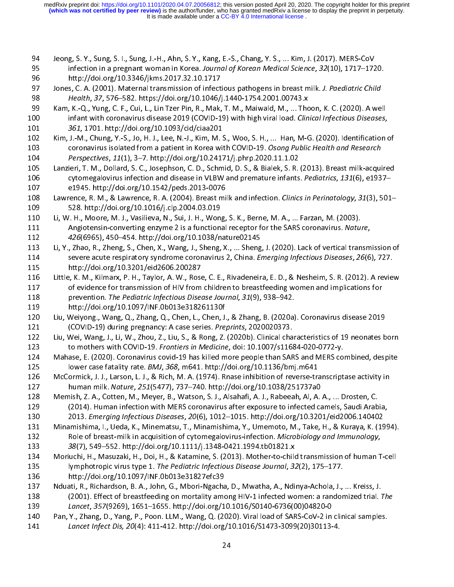- 
- J<br>J
- 
- 94 Jeong, S. Y., Sung, S. I., Sung, J.-H., Ahn, S. Y., Kang, E.-S., Chang, Y. S., ... Kim, J. (2017). MERS-CoV<br>95 infection in a pregnant woman in Korea. Journal of Korean Medical Science, 32(10), 1717–1720.<br>81 http://doi. 99 Infection in a pregnant woman in Korea. Journal by Roream Medical Science, 32(10), 1717–1720.<br>
95 http://doi.org/10.3346/jkms.2017.32.10.1717<br>
97 Jones, C. A. (2001). Maternal transmission of infectious pathogens in bre 97 Jones, C. A. (2001). Maternal transmission of infect<br>98 *Health, 37, 576–582. https://doi.org/10.1046/j*<br>99 Kam, K.-Q., Yung, C. F., Cui, L., Lin Tzer Pin, R., Mak,<br>00 infant with coronavirus disease 2019 (COVID-1<br>961,
- 98 Health, 37, 576–582. https://doi.org/10.1046/j.1440-1754.2001.00743.x<br>
89 Kam, K.-Q., Yung, C. F., Cui, L., Lin Tzer Pin, R., Mak, T. M., Maiwald, M., ... Thoon, K. C. (2020). A we<br>
80 Infant with coronavirus disease 20 Freahth, 37, 376–582. https://doi.org/10.10407j.1440-1754.2001.00743.x<br>
89 Kam, K.-Q., Yung, C. F., Cui, L., Lin Tzer Pin, R., Mak, T. M., Maiwald, M., ... The<br>
101 and the state of the state and the state and the state an 99 Infant with coronavirus disease 2019 (COVID-19) with high viral load. Clinical Infectious Diseases,<br>
99 Sentim, J.-M., Chung, Y.-S., Jo, H. J., Lee, N.-J., Kim, M. S., Woo, S. H., ... Han, M-G. (2020). Identification<br>
1 101 infant with coronavirus disease 2019 (COVID-19) with high viral load. Clinical Injectious Diseases,<br>
101 infering, Y.-S., Jo, H. J., Lee, N.-J., Kim, M. S., Woo, S. H., ... Han, M-G. (2020). Identification coronavirus 101 301, 1701. http://doi.org/10.1093/cid/ciaa201<br>102 Kim, J.-M., Chung, Y.-S., Jo, H. J., Lee, N.-J., Kim, M. S<br>103 coronavirus isolated from a patient in Korea wit<br>104 *Perspectives*, 11(1), 3–7. http://doi.org/10.2417<br>1
- coronavirus isolated from a patient in Korea with COVID-19. Osong Public Health and Research<br>
104 Perspectives, 11(1), 3–7. http://doi.org/10.24171/j.phrp.2020.11.1.02<br>
105 Lanzieri, T. M., Dollard, S. C., Josephson, C. D. Los coronavirus isolated from a patient in Korea with COVID-19. Osong Public Health and Research<br>
104 *Perspectives, 11*(1), 3–7. http://doi.org/10.24171/j.phrp.2020.11.1.02<br>
105 Lanzieri, T. M., Dollard, S. C., Josephson, 104 Perspectives, 11(1), 3–7. http://doi.org/10.24171/j.phrp.2020.11.1.02<br>
105 Lanzieri, T. M., Dollard, S. C., Josephson, C. D., Schmid, D. S., & Bialek, S. R.<br>
106 cytomegalovirus infection and disease in VLBW and premat
- 
- 106 cytomegalovirus infection and disease in VLBW and premature infants. Pediatrics, 131(6), e1937–<br>
107 e1945. http://doi.org/10.1542/peds.2013-0076<br>
108 Lawrence, R. M., & Lawrence, R. A. (2004). Breast milk and infectio 106 cytomegalovirus infection and disease in VEDW and premature infants. Pediatrics, 131(0), e1937–<br>
107 c1945. http://doi.org/10.1542/peds.2013-0076<br>
108 Lawrence, R. M., & Lawrence, R. A. (2004). Breast milk and infectio 108 Lawrence, R. M., & Lawrence, R. A. (2004). Breast mi<br>109 528. http://doi.org/10.1016/j.clp.2004.03.019<br>110 Li, W. H., Moore, M. J., Vasilieva, N., Sui, J. H., Wong,<br>111 Angiotensin-converting enzyme 2 is a functional<br>1
- 108 Lawrence, N. M., & Lawrence, R. A. (2004). Breast milk and infection. Clinics in Perinatology, 31(3), 301–<br>109 Li, W. H., Moore, M. J., Vasilieva, N., Sui, J. H., Wong, S. K., Berne, M. A., ... Farzan, M. (2003).<br>111 A 110 Li, W. H., Moore, M. J., Vasilieva, N., Sui, J. H., Wong<br>111 Angiotensin-converting enzyme 2 is a functional<br>112 426(6965), 450–454. http://doi.org/10.1038/n<br>113 Li, Y., Zhao, R., Zheng, S., Chen, X., Wang, J., Sheng,<br> 111 Angiotensin-converting enzyme 2 is a functional receptor for the SARS coronavirus. Natural 426(6965), 450–454. http://doi.org/10.1038/nature02145<br>113 Li, Y., Zhao, R., Zheng, S., Chen, X., Wang, J., Sheng, X., ... Shen 112 Anglocensin-converting enzyme 2 is a functional receptor for the SARS coronavirus. Mature,<br>
112 Li, Y., Zhao, R., Zheng, S., Chen, X., Wang, J., Sheng, X., ... Sheng, J. (2020). Lack of vertical transm<br>
114 severe acut 112 426(6965), 450–454. http://doi.org/10.1036/nature02145<br>
113 Li, Y., Zhao, R., Zheng, S., Chen, X., Wang, J., Sheng, X., ... Sheng<br>
114 severe acute respiratory syndrome coronavirus 2, China. *El*<br>
115 http://doi.org/10
- 114 Severe acute respiratory syndrome coronavirus 2, China. *Emerging Infectious Diseases, 26*(6), 727.<br>
115 Little, K. M., Kilmarx, P. H., Taylor, A. W., Rose, C. E., Rivadeneira, E. D., & Nesheim, S. R. (2012). A review<br> 114 Severe acute respiratory syndrome coronavirus 2, China. *Emerging injectious Diseases, 20(0), 727.*<br>
115 little, K. M., Kilmarx, P. H., Taylor, A. W., Rose, C. E., Rivadeneira, E. D., & Nesheim, S. R. (2012). A revie<br> 116 Little, K. M., Kilmarx, P. H., Taylor, A. W., Rose<br>117 of evidence for transmission of HIV from<br>118 prevention. *The Pediatric Infectious Dise*<br>119 http://doi.org/10.1097/INF.0b013e31824<br>120 Liu, Weiyong., Wang, Q., Zh 117 of evidence for transmission of HIV from children to breastfeeding women and implications for<br>
116 prevention. The Pediatric Infectious Disease Journal, 31(9), 938–942.<br>
119 little://doi.org/10.1097/INF.0b013e318261130
- 
- 
- 118 prevention. The Pediatric Infectious Disease Journal, 31(9), 938–942.<br>
119 http://doi.org/10.1097/INF.0b013e318261130f<br>
120 Liu, Weiyong., Wang, Q., Zhang, Q., Chen, L., Chen, J., & Zhang, B. (2020a). Coronavirus disea 119 prevention. The Pediatric Infectious Disease Journal, 31(3), 338–342.<br>
119 http://doi.org/10.1097/INF.0b013e318261130f<br>
120 Liu, Weiyong., Wang, Q., Zhang, Q., Chen, L., Chen, J., & Zhang, B. (2020a)<br>
121 (COVID-19) du
- 120 Liu, Weiyong., Wang, Q., Zhang, Q., Chen, L., Chen, J.<br>121 (COVID-19) during pregnancy: A case series. Pre,<br>122 Liu, Wei, Wang, J., Li, W., Zhou, Z., Liu, S., & Rong, Z.<br>123 to mothers with COVID-19. Frontiers in Medic 120 Liu, Weiyong., Wang, Q., Zhang, Q., Chen, L., Chen, J., & Zhang, B. (2020a). Coronavirus disease 2019<br>
121 (COVID-19) during pregnancy: A case series. Preprints, 2020020373.<br>
122 Liu, Wei, Wang, J., Li, W., Zhou, Z., L 121 (COVID-19) during pregnancy: A case series. Preprints, 2020020373.<br>
122 Liu, Wei, Wang, J., Li, W., Zhou, Z., Liu, S., & Rong, Z. (2020b). Clinical cha<br>
123 to mothers with COVID-19. Frontiers in Medicine, doi: 10.1007
- Mahase, E. (2020). Coronavirus covid-19 has killed more people than SARS and MERS combined, despite<br>
125 lower case fatality rate. *BMJ*, 368, m641. http://doi.org/10.1136/bmj.m641<br>
126 McCormick, J. J., Larson, L. J., & R
- 123 to mothers with COVID-19. Frontiers in Medicine, doi: 10.1007/s11004-020-0772-y.<br>
124 Mahase, E. (2020). Coronavirus covid-19 has killed more people than SARS and MERS com<br>
125 lower case fatality rate. *BMJ*, 368, m64 125 Iower case fatality rate. *BMJ, 368, m641. http://doi.org/10.1136/bmj.m641*<br>126 McCormick, J. J., Larson, L. J., & Rich, M. A. (1974). Rnase inhibition of reverse-transcriptase activity in<br>127 Ioman milk. *Nature, 251* 125 lower case fatally fate. BMJ, 368, m641. http://doi.org/10.1136/bmj.m641<br>126 McCormick, J. J., Larson, L. J., & Rich, M. A. (1974). Rnase inhibition of reverse-tra<br>127 human milk. Nature, 251(5477), 737–740. http://doi 127 human milk. *Nature, 251*(5477), 737–740. http://doi.org/10.1038/251737a0<br>
128 Memish, Z. A., Cotten, M., Meyer, B., Watson, S. J., Alsahafi, A. J., Rabeeah, Al, A. A., ... Drosten, C.<br>
129 (2014). Human infection with mann milk. Nature, 251(5477), 737–740. http://doi.org/10.1038/251737a0<br>
128 Memish, Z. A., Cotten, M., Meyer, B., Watson, S. J., Alsahafi, A. J., Rabeeah, Al, A.<br>
129 (2014). Human infection with MERS coronavirus after exp
- 
- 
- (2014). Human infection with MERS coronavirus after exposure to infected camels, Saudi Arab<br>
130 2013. *Emerging Infectious Diseases, 20*(6), 1012–1015. http://doi.org/10.3201/eid2006.14040<br>
131 Minamishima, I., Ueda, K., 2013. Emerging Infectious Diseases, 20(6), 1012–1015. http://doi.org/10.3201/eid2006.140402<br>
131 Minamishima, I., Ueda, K., Minematsu, T., Minamishima, Y., Umemoto, M., Take, H., & Kuraya, K. (199<br>
132 Role of breast-milk 2013. Emerging infectious Diseases, 20(0), 1012–1013. http://doi.org/10.3201/eid2000.140402<br>
131 Minamishima, I., Ueda, K., Minematsu, T., Minamishima, Y., Umemoto, M., Take, H., & Kuraya, K. (19<br>
132 Role of breast-milk i 132 Role of breast-milk in acquisition of cytomegalovirus-infection. *Microbiology and Immunology,*<br>
133 Role of breast-milk in acquisition of cytomegalovirus-infection. *Microbiology and Immunology,*<br>
133 38(7), 549–552. 132 Role of breast-milk in acquisition of cytomegalovirus-infection. Microbiology and Immunology,<br>
133 38(7), 549–552. http://doi.org/10.1111/j.1348-0421.1994.tb01821.x<br>
134 Moriuchi, H., Masuzaki, H., Doi, H., & Katamine, 133 38(7), 549–552. http://doi.org/10.1111/j.1348-0421.1554.tb01021.x<br>
134 Moriuchi, H., Masuzaki, H., Doi, H., & Katamine, S. (2013). Mother-to-child<br>
135 Iymphotropic virus type 1. The Pediatric Infectious Disease Journa 135 Iymphotropic virus type 1. The Pediatric Infectious Disease Journal, 32(2), 175–177.<br>
136 http://doi.org/10.1097/INF.0b013e31827efc39<br>
137 Nduati, R., Richardson, B. A., John, G., Mbori-Ngacha, D., Mwatha, A., Ndinya-A
- 
- 135 Iymphotropic virus type 1. The Pediatric Infectious Disease Journal, 32(2), 175–177.<br>
136 http://doi.org/10.1097/INF.0b013e31827efc39<br>
137 Nduati, R., Richardson, B. A., John, G., Mbori-Ngacha, D., Mwatha, A., Ndinya-137 Mduati, R., Richardson, B. A., John, G., Mbori-Ngacha<br>138 (2001). Effect of breastfeeding on mortality ame<br>139 Lancet, 357(9269), 1651–1655. http://doi.org/1<br>140 Pan, Y., Zhang, D., Yang, P., Poon. LLM., Wang, Q. (20<br>1 138 (2001). Effect of breastfeeding on mortality among HIV-1 infected women: a randomized trial. 1<br>
139 *Lancet, 357*(9269), 1651–1655. http://doi.org/10.1016/S0140-6736(00)04820-0<br>
140 Pan, Y., Zhang, D., Yang, P., Poon.
- 139 (2001). Effect of breastreeding on mortality among HIV-1 infected women: a randomized trial. The<br>
139 Lancet, 357(9269), 1651–1655. http://doi.org/10.1016/S0140-6736(00)04820-0<br>
140 Pan, Y., Zhang, D., Yang, P., Poon. 2139 Lancet, 357(5269), 1651–1655. http://doi.org/10.1016/S0140-0736(00)04820-0<br>
140 Pan, Y., Zhang, D., Yang, P., Poon. LLM., Wang, Q. (2020). Viral load of SARS-CoV-2 in<br>
141 Lancet Infect Dis, 20(4): 411-412. http://do 141 *Lancet Infect Dis, 20*(4): 411-412. http://doi.org/10.1016/S1473-3099(20)30113-4.<br>24 141 Lancet Infect Dis, 20(4): 411-412. http://doi.org/10.1010/S1473-3099(20)30113-4.<br>24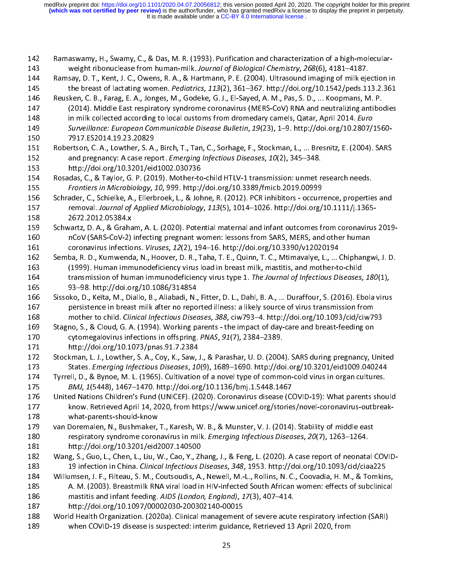|<br>|<br>| 142 Ramaswamy, H., Swamy, C., & Das, M. R. (1993). Purification and characterization of a high-molecularweight ribonuclease from human-milk. Journal of Biological Chemistry, 268(6), 4181–4187.<br>
144 Ramsay, D. T., Kent, J. C., Owens, R. A., & Hartmann, P. E. (2004). Ultrasound imaging of milk ejection in<br>
145 the breast of la the breast of lactating women. *Pediatrics*, 113(2), 361–367. http://doi.org/10.1542/peds.113.2.361<br>
146 Reusken, C. B., Farag, E. A., Jonges, M., Godeke, G. J., El-Sayed, A. M., Pas, S. D., ... Koopmans, M. P.<br>
147 (2014) 145 Reusken, C. B., Farag, E. A., Jonges, M., Godeke, G. J., El-Sayed, A. M., Pas, S. D., ... Koopmans, M. P.<br>
147 (2014). Middle East respiratory syndrome coronavirus (MERS-CoV) RNA and neutralizing antibodies<br>
in milk co 148 in milk collected according to local customs from dromedary camels, Qatar, April 2014. *Euro*<br>
149 Surveillance: *European Communicable Disease Bulletin*, 19(23), 1–9. http://doi.org/10.2807/1560-<br>
150 7917.ES2014.19.2 148 In mink collected according to local customs from dromedary camels, Qatar, April 2014. Euro<br>
149 Surveillance: European Communicable Disease Bulletin, 19(23), 1–9. http://doi.org/10.2807/<br>
150 Pobertson, C. A., Lowther 149 Surveillance: European Communicable Disease Bulletin, 19(23), 1–9. http://doi.org/10.2807/1560-149 Survemance: European Communicable Disease Bunchin, 19(29), 1–9. http://doi.org/10.2807/1560<br>
150 7917.ES2014.19.23.20829<br>
151 Robertson, C. A., Lowther, S. A., Birch, T., Tan, C., Sorhage, F., Stockman, L., ... Bresnit 151 Robertson, C. A., Lowther, S. A.<br>152 and pregnancy: A case repo<br>153 http://doi.org/10.3201/eid<br>154 Rosadas, C., & Taylor, G. P. (201<br>155 *Frontiers in Microbiology, 1*<br>156 Schrader, C., Schielke, A., Ellerb<br>157 removal 151 Robertson, C. A., Lowther, S. A., Birch, T., Tan, C., Sorhage, F., Stockman, L., ... Bresnitz, E. (2004). SARS<br>152 and pregnancy: A case report. *Emerging Infectious Diseases*, 10(2), 345–348.<br>153 http://doi.org/10.320 and pregnancy: A case report. Emerging injectious Diseases, 10(2), 345–346.<br>
153 http://doi.org/10.3201/eid1002.030736<br>
154 Rosadas, C., & Taylor, G. P. (2019). Mother-to-child HTLV-1 transmission: unmet r<br>
155 Frontiers i 154 Rosadas, C., & Taylor, G. P. (2019). Mother-to<br>155 *Frontiers in Microbiology, 10, 999.* http:/<br>156 Schrader, C., Schielke, A., Ellerbroek, L., & John<br>157 removal. Journal of Applied Microbiology<br>158 2672.2012.05384.x<br> Rosadas, C., & Taylor, G. P. (2019). Mother-to-child HTLV-1 transmission: unmet research needs.<br>
155 Frontiers in Microbiology, 10, 999. http://doi.org/10.3389/fmicb.2019.00999<br>
156 Schrader, C., Schielke, A., Ellerbroek, 155 Frontiers in Microbiology, 10, 999. http://doi.org/10.3389/Hilles.2019.00999<br>156 Schrader, C., Schielke, A., Ellerbroek, L., & Johne, R. (2012). PCR inhibitors - occurr<br>157 removal. Journal of Applied Microbiology, 113 157 removal. Journal of Applied Microbiology, 113(5), 1014–1026. http://doi.org/10.1111/j.1365-<br>158 2672.2012.05384.x<br>159 Schwartz, D. A., & Graham, A. L. (2020). Potential maternal and infant outcomes from coronavirus<br>160 157 removal. Journal of Applied Microbiology, 115(5), 1014 1020. http://doi.org/10.1111/j.1365<br>
158 Schwartz, D. A., & Graham, A. L. (2020). Potential maternal and infant outcomes from coronavirus<br>
160 nCoV (SARS-CoV-2) in 159 Schwartz, D. A., & Graha<br>160 nCoV (SARS-CoV-2)<br>161 coronavirus infectio<br>162 Semba, R. D., Kumwend:<br>163 (1999). Human imm<br>164 transmission of hun<br>165 93–98. http://doi.or 159 Schwartz, D. A., & Graham, A. L. (2020). Potential maternal and infant outcomes from coronavirus 2019-<br>160 nCoV (SARS-CoV-2) infecting pregnant women: lessons from SARS, MERS, and other human<br>161 coronavirus infections nCoV (SARS-CoV-2) infecting pregnant women: lessons from SARS, MERS, and other human<br>
161 coronavirus infections. *Viruses, 12*(2), 194–16. http://doi.org/10.3390/v12020194<br>
162 Semba, R. D., Kumwenda, N., Hoover, D. R., T coronavirus infections. Viruses, 12(2), 194–16. http://doi.org/10.3390/v12020194<br>
162 Semba, R. D., Kumwenda, N., Hoover, D. R., Taha, T. E., Quinn, T. C., Mtimavalye, L., ... Chiphang<br>
163 (1999). Human immunodeficiency v 162 Semba, R. D., Kumwenda, N., Hoover, D. R., Taha, T. E., Quinn, T. C., Mtimavalye, L., ... (<br>163 (1999). Human immunodeficiency virus load in breast milk, mastitis, and mother-to<br>164 transmission of human immunodeficien 163 (1999). Human immunodeficiency virus load in breast milk, mastitis, and mother-to-child<br>
164 transmission of human immunodeficiency virus type 1. The Journal of Infectious Diseases, 180(1),<br>
165 93–98. http://doi.org/1 164 transmission of human immunodeficiency virus type 1. The Journal of Infectious Diseases,<br>
165 93–98. http://doi.org/10.1086/314854<br>
166 Sissoko, D., Keïta, M., Diallo, B., Aliabadi, N., Fitter, D. L., Dahl, B. A., ... 164 transmission of human immunodencency virus type 1. The Journal of Infectious Diseases, 180(1),<br>
165 Sisoko, D., Keïta, M., Diallo, B., Aliabadi, N., Fitter, D. L., Dahl, B. A., ... Duraffour, S. (2016). Ebola virus<br>
16 166 Sissoko, D., Keïta, M., Diallo, B., Aliabadi, N.,<br>167 persistence in breast milk after no repo<br>168 mother to child. Clinical Infectious Disea<br>169 Stagno, S., & Cloud, G. A. (1994). Working pa<br>170 cytomegalovirus infect persistence in breast milk after no reported illness: a likely source of virus transmission from<br>168 mother to child. *Clinical Infectious Diseases, 388*, ciw793–4. http://doi.org/10.1093/cid/ciw793<br>169 Stagno, S., & Cloud mother to child. Clinical Infectious Diseases, 388, ciw793-4. http://doi.org/10.1093/cid/ciw7<br>
169 Stagno, S., & Cloud, G. A. (1994). Working parents - the impact of day-care and breast-feeding on<br>
170 cytomegalovirus infe 168 Stagno, S., & Cloud, G. A. (1994). Working parents - the impact of day-care and breast-feeding on<br>
170 cytomegalovirus infections in offspring. PNAS, 91(7), 2384–2389.<br>
171 http://doi.org/10.1073/pnas.91.7.2384<br>
172 St 170 cytomegalovirus infections in offspring. PNAS, 91(7), 2384–2389.<br>
171 the://doi.org/10.1073/pnas.91.7.2384<br>
172 Stackman, L. J., Lowther, S. A., Coy, K., Saw, J., & Parashar, U. D. (2004). SARS during pregnancy, U<br>
173 170 cytomegalovirus infections in orispinig. PMAS, 31(7), 2364–2389.<br>
171 http://doi.org/10.1073/pnas.91.7.2384<br>
172 Stockman, L. J., Lowther, S. A., Coy, K., Saw, J., & Parashar, U. D. (2004<br>
173 States. Emerging Infectio 172 Stockman, L. J., Lowther, S. A., Coy, K., Saw,<br>173 States. *Emerging Infectious Diseases, 10*<br>174 Tyrrell, D., & Bynoe, M. L. (1965). Cultivation<br>175 *BMJ, 1*(5448), 1467–1470. http://doi.org<br>176 United Nations Childre States. *Emerging Infectious Diseases, 10*(9), 1689–1690. http://doi.org/10.3201/eid1009.040244<br>174 Tyrrell, D., & Bynoe, M. L. (1965). Cultivation of a novel type of common-cold virus in organ cultures.<br>175 BMJ, 1(5448), 3173 States. Emerging Infectious Diseases, 10(9), 1009–1090. http://doi.org/10.3201/eid1009.040244<br>174 Tyrrell, D., & Bynoe, M. L. (1965). Cultivation of a novel type of common-cold virus in organ cultures.<br>175 BMJ, 1(5448 175 BMJ, 1(5448), 1467–1470. http://doi.org/10.1136/bmj.1.5448.1467<br>
176 United Nations Children's Fund (UNICEF). (2020). Coronavirus disease (COVID-19): What parents shot<br>
177 know. Retrieved April 14, 2020, from https:// MD, 1(5448), 1467–1470. http://doi.org/10.1136/bmj.1.5448.1467<br>176 United Nations Children's Fund (UNICEF). (2020). Coronavirus disease (CO<br>177 know. Retrieved April 14, 2020, from https://www.unicef.org/stories<br>179 van Do know. Retrieved April 14, 2020, from https://www.unicef.org/stories/novel-coronavirus-outbreak-<br>178 van Doremalen, N., Bushmaker, T., Karesh, W. B., & Munster, V. J. (2014). Stability of middle east<br>180 respiratory syndrom 179 van Doremalen, N., Bushmaker,<br>180 respiratory syndrome coron<br>181 http://doi.org/10.3201/eid2<br>182 Wang, S., Guo, L., Chen, L., Liu, V<br>183 19 infection in China. *Clinicc*<br>184 Willumsen, J. F., Filteau, S. M., C<br>185 A. M 180 respiratory syndrome coronavirus in milk. Emerging Infectious Diseases, 20(7), 1263–1264.<br>
181 http://doi.org/10.3201/eid2007.140500<br>
182 Wang, S., Guo, L., Chen, L., Liu, W., Cao, Y., Zhang, J., & Feng, L. (2020). A c 181 http://doi.org/10.3201/eid2007.140500<br>182 Wang, S., Guo, L., Chen, L., Liu, W., Cao, Y., Zhang, J., & Feng, L. (2020). A case report of neonata<br>183 19 infection in China. *Clinical Infectious Diseases*, 348, 1953. http Wang, S., Guo, L., Chen, L., Liu, W., Cao, Y., Zhen, 19 infection in China. Clinical Infectious L<br>184 Millumsen, J. F., Filteau, S. M., Coutsoudis, A.<br>185 A. M. (2003). Breastmilk RNA viral load in<br>186 mastitis and infant 177 Know. Retrieved April 2020, From https://www.unicef.org/stories/novel-coronavirus-off-coronavirus-off-coronavirus-off-coronavirus-off-coronavirus-off-coronavirus-off-coronavirus-off-coronavirus-off-coronavirus-off-coro 185 A. M. (2003). Breastmilk RNA viral load in HIV-infected South African women: effects of subclinical<br>
186 mastitis and infant feeding. AIDS (London, England), 17(3), 407–414.<br>
187 http://doi.org/10.1097/00002030-2003021 mastitis and infant feeding. AIDS (London, England), 17(3), 407–414.<br>
187 http://doi.org/10.1097/00002030-200302140-00015<br>
188 World Health Organization. (2020a). Clinical management of severe acute respiratory infection ( 187 mastitis and infant feeding. AIDS (London, England), 17(3), 407–414.<br>187 http://doi.org/10.1097/00002030-200302140-00015<br>188 World Health Organization. (2020a). Clinical management of severe acute<br>when COVID-19 disease 188 World Health Organization. (2020a). Clinical management<br>189 when COVID-19 disease is suspected: interim guidanc<br>25 189 when COVID-19 disease is suspected: interim guidance, Retrieved 13 April 2020, from<br>25 189 when COVID-19 disease is suspected: interim guidance, Retrieved 13 April 2020, from 189 when Covid-19 when Covid-19 disease is supported: interim guidance, Retrieved 13 April 2020, from<br>25